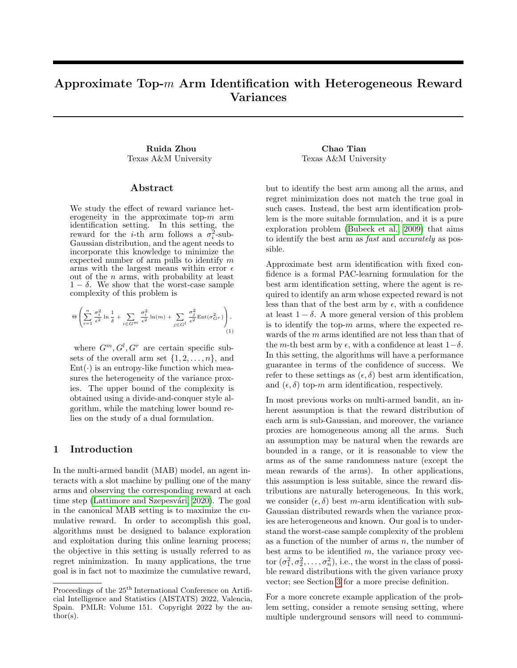## Approximate Top-m Arm Identification with Heterogeneous Reward Variances

Ruida Zhou Chao Tian Texas A&M University Texas A&M University

#### Abstract

We study the effect of reward variance heterogeneity in the approximate top- $m$  arm identification setting. In this setting, the reward for the *i*-th arm follows a  $\sigma_i^2$ -sub-Gaussian distribution, and the agent needs to incorporate this knowledge to minimize the expected number of arm pulls to identify m arms with the largest means within error  $\epsilon$ out of the  $n$  arms, with probability at least  $1 - \delta$ . We show that the worst-case sample complexity of this problem is

$$
\Theta\left(\sum_{i=1}^n\frac{\sigma_i^2}{\epsilon^2}\ln\frac{1}{\delta}+\sum_{i\in G^m}\frac{\sigma_i^2}{\epsilon^2}\ln(m)+\sum_{j\in G^l}\frac{\sigma_j^2}{\epsilon^2}\text{Ent}(\sigma_{G^T}^2)\right),\tag{1}
$$

where  $G^m, G^l, G^r$  are certain specific subsets of the overall arm set  $\{1, 2, \ldots, n\}$ , and  $Ent(\cdot)$  is an entropy-like function which measures the heterogeneity of the variance proxies. The upper bound of the complexity is obtained using a divide-and-conquer style algorithm, while the matching lower bound relies on the study of a dual formulation.

#### 1 Introduction

In the multi-armed bandit (MAB) model, an agent interacts with a slot machine by pulling one of the many arms and observing the corresponding reward at each time step (Lattimore and Szepesvári, 2020). The goal in the canonical MAB setting is to maximize the cumulative reward. In order to accomplish this goal, algorithms must be designed to balance exploration and exploitation during this online learning process; the objective in this setting is usually referred to as regret minimization. In many applications, the true goal is in fact not to maximize the cumulative reward,

but to identify the best arm among all the arms, and regret minimization does not match the true goal in such cases. Instead, the best arm identification problem is the more suitable formulation, and it is a pure exploration problem [\(Bubeck et al., 2009\)](#page-8-0) that aims to identify the best arm as fast and accurately as possible.

<span id="page-0-0"></span>Approximate best arm identification with fixed confidence is a formal PAC-learning formulation for the best arm identification setting, where the agent is required to identify an arm whose expected reward is not less than that of the best arm by  $\epsilon$ , with a confidence at least  $1 - \delta$ . A more general version of this problem is to identify the top- $m$  arms, where the expected rewards of the m arms identified are not less than that of the m-th best arm by  $\epsilon$ , with a confidence at least  $1-\delta$ . In this setting, the algorithms will have a performance guarantee in terms of the confidence of success. We refer to these settings as  $(\epsilon, \delta)$  best arm identification, and  $(\epsilon, \delta)$  top-m arm identification, respectively.

In most previous works on multi-armed bandit, an inherent assumption is that the reward distribution of each arm is sub-Gaussian, and moreover, the variance proxies are homogeneous among all the arms. Such an assumption may be natural when the rewards are bounded in a range, or it is reasonable to view the arms as of the same randomness nature (except the mean rewards of the arms). In other applications, this assumption is less suitable, since the reward distributions are naturally heterogeneous. In this work, we consider  $(\epsilon, \delta)$  best m-arm identification with sub-Gaussian distributed rewards when the variance proxies are heterogeneous and known. Our goal is to understand the worst-case sample complexity of the problem as a function of the number of arms  $n$ , the number of best arms to be identified  $m$ , the variance proxy vector  $(\sigma_1^2, \sigma_2^2, \ldots, \sigma_n^2)$ , i.e., the worst in the class of possible reward distributions with the given variance proxy vector; see Section [3](#page-2-0) for a more precise definition.

For a more concrete example application of the problem setting, consider a remote sensing setting, where multiple underground sensors will need to communi-

Proceedings of the  $25^{\mathrm{th}}$  International Conference on Artificial Intelligence and Statistics (AISTATS) 2022, Valencia, Spain. PMLR: Volume 151. Copyright 2022 by the author(s).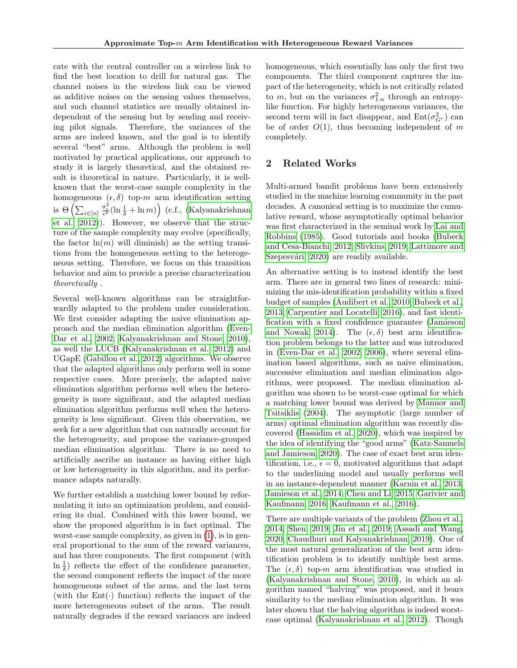cate with the central controller on a wireless link to find the best location to drill for natural gas. The channel noises in the wireless link can be viewed as additive noises on the sensing values themselves, and such channel statistics are usually obtained independent of the sensing but by sending and receiving pilot signals. Therefore, the variances of the arms are indeed known, and the goal is to identify several "best" arms. Although the problem is well motivated by practical applications, our approach to study it is largely theoretical, and the obtained result is theoretical in nature. Particularly, it is wellknown that the worst-case sample complexity in the homogeneous  $(\epsilon, \delta)$  top-m arm identification setting is  $\Theta\left(\sum_{i\in[n]}\frac{\sigma_i^2}{\epsilon^2}(\ln\frac{1}{\delta} + \ln m)\right)$  (c.f., [\(Kalyanakrishnan](#page-9-1) [et al., 2012\)](#page-9-1)). However, we observe that the structure of the sample complexity may evolve (specifically, the factor  $\ln(m)$  will diminish) as the setting transitions from the homogeneous setting to the heterogeneous setting. Therefore, we focus on this transition behavior and aim to provide a precise characterization theoretically .

Several well-known algorithms can be straightforwardly adapted to the problem under consideration. We first consider adapting the naive elimination approach and the median elimination algorithm [\(Even-](#page-8-1)[Dar et al., 2002;](#page-8-1) [Kalyanakrishnan and Stone, 2010\)](#page-9-2), as well the LUCB [\(Kalyanakrishnan et al., 2012\)](#page-9-1) and UGapE [\(Gabillon et al., 2012\)](#page-8-2) algorithms. We observe that the adapted algorithms only perform well in some respective cases. More precisely, the adapted naive elimination algorithm performs well when the heterogeneity is more significant, and the adapted median elimination algorithm performs well when the heterogeneity is less significant. Given this observation, we seek for a new algorithm that can naturally account for the heterogeneity, and propose the variance-grouped median elimination algorithm. There is no need to artificially ascribe an instance as having either high or low heterogeneity in this algorithm, and its performance adapts naturally.

We further establish a matching lower bound by reformulating it into an optimization problem, and considering its dual. Combined with this lower bound, we show the proposed algorithm is in fact optimal. The worst-case sample complexity, as given in [\(1\)](#page-0-0), is in general proportional to the sum of the reward variances, and has three components. The first component (with ln  $\frac{1}{\delta}$ ) reflects the effect of the confidence parameter, the second component reflects the impact of the more homogeneous subset of the arms, and the last term (with the  $Ent(\cdot)$  function) reflects the impact of the more heterogeneous subset of the arms. The result naturally degrades if the reward variances are indeed

homogeneous, which essentially has only the first two components. The third component captures the impact of the heterogeneity, which is not critically related to m, but on the variances  $\sigma_{1:n}^2$  through an entropylike function. For highly heterogeneous variances, the second term will in fact disappear, and  $Ent(\sigma_{G^r}^2)$  can be of order  $O(1)$ , thus becoming independent of m completely.

## 2 Related Works

Multi-armed bandit problems have been extensively studied in the machine learning community in the past decades. A canonical setting is to maximize the cumulative reward, whose asymptotically optimal behavior was first characterized in the seminal work by [Lai and](#page-9-3) [Robbins](#page-9-3) [\(1985\)](#page-9-3). Good tutorials and books [\(Bubeck](#page-8-3) [and Cesa-Bianchi, 2012;](#page-8-3) [Slivkins, 2019;](#page-9-4) [Lattimore and](#page-9-0) Szepesvári, 2020) are readily available.

An alternative setting is to instead identify the best arm. There are in general two lines of research: minimizing the mis-identification probability within a fixed budget of samples [\(Audibert et al., 2010;](#page-8-4) [Bubeck et al.,](#page-8-5) [2013;](#page-8-5) [Carpentier and Locatelli, 2016\)](#page-8-6), and fast identification with a fixed confidence guarantee [\(Jamieson](#page-9-5) [and Nowak, 2014\)](#page-9-5). The  $(\epsilon, \delta)$  best arm identification problem belongs to the latter and was introduced in [\(Even-Dar et al., 2002,](#page-8-1) [2006\)](#page-8-7), where several elimination based algorithms, such as naive elimination, successive elimination and median elimination algorithms, were proposed. The median elimination algorithm was shown to be worst-case optimal for which a matching lower bound was derived by [Mannor and](#page-9-6) [Tsitsiklis](#page-9-6) [\(2004\)](#page-9-6). The asymptotic (large number of arms) optimal elimination algorithm was recently discovered [\(Hassidim et al., 2020\)](#page-8-8), which was inspired by the idea of identifying the "good arms" [\(Katz-Samuels](#page-9-7) [and Jamieson, 2020\)](#page-9-7). The case of exact best arm identification, i.e.,  $\epsilon = 0$ , motivated algorithms that adapt to the underlining model and usually performs well in an instance-dependent manner [\(Karnin et al., 2013;](#page-9-8) [Jamieson et al., 2014;](#page-8-9) [Chen and Li, 2015;](#page-8-10) [Garivier and](#page-8-11) [Kaufmann, 2016;](#page-8-11) [Kaufmann et al., 2016\)](#page-9-9).

There are multiple variants of the problem [\(Zhou et al.,](#page-9-10) [2014;](#page-9-10) [Shen, 2019;](#page-9-11) [Jin et al., 2019;](#page-9-12) [Assadi and Wang,](#page-8-12) [2020;](#page-8-12) [Chaudhuri and Kalyanakrishnan, 2019\)](#page-8-13). One of the most natural generalization of the best arm identification problem is to identify multiple best arms. The  $(\epsilon, \delta)$  top-m arm identification was studied in [\(Kalyanakrishnan and Stone, 2010\)](#page-9-2), in which an algorithm named "halving" was proposed, and it bears similarity to the median elimination algorithm. It was later shown that the halving algorithm is indeed worstcase optimal [\(Kalyanakrishnan et al., 2012\)](#page-9-1). Though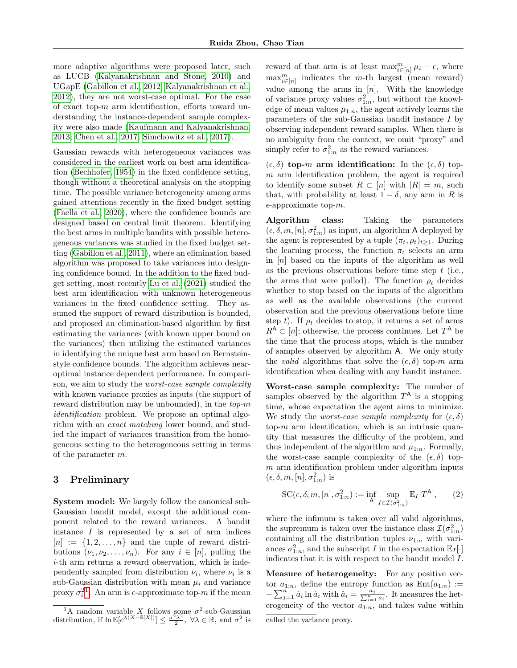more adaptive algorithms were proposed later, such as LUCB [\(Kalyanakrishnan and Stone, 2010\)](#page-9-2) and UGapE [\(Gabillon et al., 2012;](#page-8-2) [Kalyanakrishnan et al.,](#page-9-1) [2012\)](#page-9-1), they are not worst-case optimal. For the case of exact top- $m$  arm identification, efforts toward understanding the instance-dependent sample complexity were also made [\(Kaufmann and Kalyanakrishnan,](#page-9-13) [2013;](#page-9-13) [Chen et al., 2017;](#page-8-14) [Simchowitz et al., 2017\)](#page-9-14).

Gaussian rewards with heterogeneous variances was considered in the earliest work on best arm identification [\(Bechhofer, 1954\)](#page-8-15) in the fixed confidence setting, though without a theoretical analysis on the stopping time. The possible variance heterogeneity among arms gained attentions recently in the fixed budget setting [\(Faella et al., 2020\)](#page-8-16), where the confidence bounds are designed based on central limit theorem. Identifying the best arms in multiple bandits with possible heterogeneous variances was studied in the fixed budget setting [\(Gabillon et al., 2011\)](#page-8-17), where an elimination based algorithm was proposed to take variances into designing confidence bound. In the addition to the fixed budget setting, most recently [Lu et al.](#page-9-15) [\(2021\)](#page-9-15) studied the best arm identification with unknown heterogeneous variances in the fixed confidence setting. They assumed the support of reward distribution is bounded, and proposed an elimination-based algorithm by first estimating the variances (with known upper bound on the variances) then utilizing the estimated variances in identifying the unique best arm based on Bernsteinstyle confidence bounds. The algorithm achieves nearoptimal instance dependent performance. In comparison, we aim to study the worst-case sample complexity with known variance proxies as inputs (the support of reward distribution may be unbounded), in the  $top-m$ identification problem. We propose an optimal algorithm with an exact matching lower bound, and studied the impact of variances transition from the homogeneous setting to the heterogeneous setting in terms of the parameter m.

## <span id="page-2-0"></span>3 Preliminary

System model: We largely follow the canonical sub-Gaussian bandit model, except the additional component related to the reward variances. A bandit instance  $I$  is represented by a set of arm indices  $[n] := \{1, 2, \ldots, n\}$  and the tuple of reward distributions  $(\nu_1, \nu_2, \ldots, \nu_n)$ . For any  $i \in [n]$ , pulling the i-th arm returns a reward observation, which is independently sampled from distribution  $\nu_i$ , where  $\nu_i$  is a sub-Gaussian distribution with mean  $\mu_i$  and variance proxy  $\sigma_i^{21}$  $\sigma_i^{21}$  $\sigma_i^{21}$ . An arm is  $\epsilon$ -approximate top-m if the mean

reward of that arm is at least  $\max_{i\in[n]}^m \mu_i - \epsilon$ , where  $\max_{i\in[n]}^{m}$  indicates the *m*-th largest (mean reward) value among the arms in  $[n]$ . With the knowledge of variance proxy values  $\sigma_{1:n}^2$ , but without the knowledge of mean values  $\mu_{1:n}$ , the agent actively learns the parameters of the sub-Gaussian bandit instance I by observing independent reward samples. When there is no ambiguity from the context, we omit "proxy" and simply refer to  $\sigma_{1:n}^2$  as the reward variances.

 $(\epsilon, \delta)$  top-m arm identification: In the  $(\epsilon, \delta)$  top $m$  arm identification problem, the agent is required to identify some subset  $R \subset [n]$  with  $|R| = m$ , such that, with probability at least  $1 - \delta$ , any arm in R is  $\epsilon$ -approximate top-*m*.

Algorithm class: Taking the parameters  $(\epsilon, \delta, m, [n], \sigma_{1:n}^2)$  as input, an algorithm A deployed by the agent is represented by a tuple  $(\pi_t, \rho_t)_{t>1}$ . During the learning process, the function  $\pi_t$  selects an arm in  $[n]$  based on the inputs of the algorithm as well as the previous observations before time step  $t$  (i.e., the arms that were pulled). The function  $\rho_t$  decides whether to stop based on the inputs of the algorithm as well as the available observations (the current observation and the previous observations before time step t). If  $\rho_t$  decides to stop, it returns a set of arms  $R^{\mathsf{A}} \subset [n]$ ; otherwise, the process continues. Let  $T^{\mathsf{A}}$  be the time that the process stops, which is the number of samples observed by algorithm A. We only study the *valid* algorithms that solve the  $(\epsilon, \delta)$  top-m arm identification when dealing with any bandit instance.

Worst-case sample complexity: The number of samples observed by the algorithm  $T^{\mathsf{A}}$  is a stopping time, whose expectation the agent aims to minimize. We study the *worst-case sample complexity* for  $(\epsilon, \delta)$ top- $m$  arm identification, which is an intrinsic quantity that measures the difficulty of the problem, and thus independent of the algorithm and  $\mu_{1:n}$ . Formally, the worst-case sample complexity of the  $(\epsilon, \delta)$  top $m$  arm identification problem under algorithm inputs  $(\epsilon, \delta, m, [n], \sigma_{1:n}^2)$  is

$$
\mathrm{SC}(\epsilon, \delta, m, [n], \sigma_{1:n}^2) := \inf_{\mathsf{A}} \sup_{I \in \mathcal{I}(\sigma_{1:n}^2)} \mathbb{E}_I[T^{\mathsf{A}}], \qquad (2)
$$

where the infimum is taken over all valid algorithms, the supremum is taken over the instance class  $\mathcal{I}(\sigma_{1:n}^2)$ containing all the distribution tuples  $\nu_{1:n}$  with variances  $\sigma_{1:n}^2$ , and the subscript I in the expectation  $\mathbb{E}_I[\cdot]$ indicates that it is with respect to the bandit model  $I$ .

Measure of heterogeneity: For any positive vector  $a_{1:n}$ , define the entropy function as  $Ent(a_{1:n}) :=$  $-\sum_{j=1}^{n}\hat{a}_i\ln\hat{a}_i$  with  $\hat{a}_i=\frac{a_j}{\sum_{i=1}^{n}a_i}$ . It measures the heterogeneity of the vector  $a_{1:n}$ , and takes value within

<span id="page-2-1"></span><sup>&</sup>lt;sup>1</sup>A random variable X follows some  $\sigma^2$ -sub-Gaussian distribution, if  $\ln \mathbb{E}[e^{\lambda(X-\mathbb{E}[X])}] \leq \frac{\sigma^2 \lambda^2}{2}$  $\frac{\partial^2 \lambda^2}{\partial x^2}$ ,  $\forall \lambda \in \mathbb{R}$ , and  $\sigma^2$  is

called the variance proxy.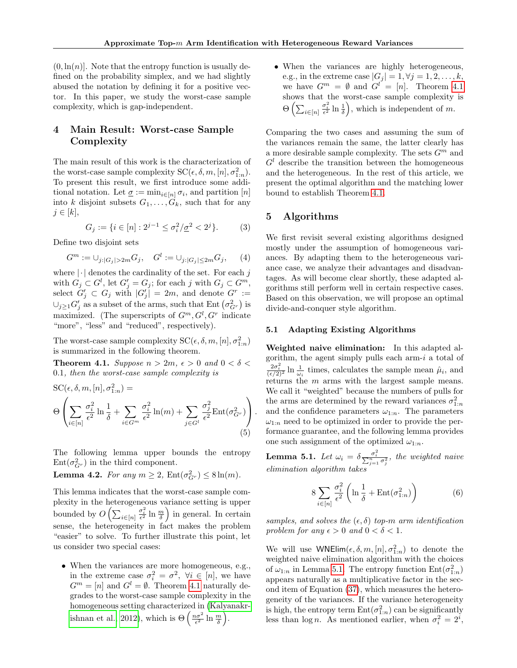$(0, \ln(n))$ . Note that the entropy function is usually defined on the probability simplex, and we had slightly abused the notation by defining it for a positive vector. In this paper, we study the worst-case sample complexity, which is gap-independent.

## <span id="page-3-2"></span>4 Main Result: Worst-case Sample Complexity

The main result of this work is the characterization of the worst-case sample complexity  $SC(\epsilon, \delta, m, [n], \sigma_{1:n}^2)$ . To present this result, we first introduce some additional notation. Let  $\underline{\sigma} := \min_{i \in [n]} \sigma_i$ , and partition  $[n]$ into k disjoint subsets  $G_1, \ldots, G_k$ , such that for any  $j \in [k],$ 

$$
G_j := \{ i \in [n] : 2^{j-1} \le \sigma_i^2 / \underline{\sigma}^2 < 2^j \}. \tag{3}
$$

Define two disjoint sets

$$
G^{m} := \bigcup_{j:|G_j| > 2m} G_j, \quad G^{l} := \bigcup_{j:|G_j| \le 2m} G_j,\tag{4}
$$

where  $|\cdot|$  denotes the cardinality of the set. For each j with  $G_j \subset G^l$ , let  $G'_j = G_j$ ; for each j with  $G_j \subset G^m$ , select  $G'_j \subset G_j$  with  $|G'_j| = 2m$ , and denote  $G^r :=$  $\cup_{j\geq 1} G'_j$  as a subset of the arms, such that Ent  $(\sigma_{G^r}^2)$  is maximized. (The superscripts of  $G^m, G^l, G^r$  indicate "more", "less" and "reduced", respectively).

The worst-case sample complexity  $SC(\epsilon, \delta, m, [n], \sigma_{1:n}^2)$ is summarized in the following theorem.

<span id="page-3-0"></span>**Theorem 4.1.** Suppose  $n > 2m$ ,  $\epsilon > 0$  and  $0 < \delta <$ 0.1, then the worst-case sample complexity is

$$
SC(\epsilon, \delta, m, [n], \sigma_{1:n}^2) =
$$
  
\n
$$
\Theta \left( \sum_{i \in [n]} \frac{\sigma_i^2}{\epsilon^2} \ln \frac{1}{\delta} + \sum_{i \in G^m} \frac{\sigma_i^2}{\epsilon^2} \ln(m) + \sum_{j \in G^l} \frac{\sigma_j^2}{\epsilon^2} \text{Ent}(\sigma_{G^r}^2) \right).
$$
  
\n(5)

The following lemma upper bounds the entropy  $Ent(\sigma_{G_r}^2)$  in the third component.

<span id="page-3-3"></span>**Lemma 4.2.** For any  $m \ge 2$ ,  $Ent(\sigma_{G_r}^2) \le 8 \ln(m)$ .

This lemma indicates that the worst-case sample complexity in the heterogeneous variance setting is upper bounded by  $O\left(\sum_{i \in [n]} \frac{\sigma_i^2}{\epsilon^2} \ln \frac{m}{\delta}\right)$  in general. In certain sense, the heterogeneity in fact makes the problem "easier" to solve. To further illustrate this point, let us consider two special cases:

• When the variances are more homogeneous, e.g., in the extreme case  $\sigma_i^2 = \sigma^2$ ,  $\forall i \in [n]$ , we have  $G^m = [n]$  and  $G^l = \emptyset$ . Theorem [4.1](#page-3-0) naturally degrades to the worst-case sample complexity in the homogeneous setting characterized in [\(Kalyanakr](#page-9-1)[ishnan et al., 2012\)](#page-9-1), which is  $\Theta\left(\frac{n\sigma^2}{\epsilon^2}\ln\frac{m}{\delta}\right)$ .

• When the variances are highly heterogeneous, e.g., in the extreme case  $|G_j| = 1, \forall j = 1, 2, \ldots, k$ , we have  $G^m = \emptyset$  and  $G^l = [n]$ . Theorem [4.1](#page-3-0) shows that the worst-case sample complexity is  $\Theta\left(\sum_{i\in[n]}\frac{\sigma_i^2}{\epsilon^2}\ln\frac{1}{\delta}\right)$ , which is independent of m.

Comparing the two cases and assuming the sum of the variances remain the same, the latter clearly has a more desirable sample complexity. The sets  $G^m$  and  $G<sup>l</sup>$  describe the transition between the homogeneous and the heterogeneous. In the rest of this article, we present the optimal algorithm and the matching lower bound to establish Theorem [4.1.](#page-3-0)

## <span id="page-3-4"></span>5 Algorithms

We first revisit several existing algorithms designed mostly under the assumption of homogeneous variances. By adapting them to the heterogeneous variance case, we analyze their advantages and disadvantages. As will become clear shortly, these adapted algorithms still perform well in certain respective cases. Based on this observation, we will propose an optimal divide-and-conquer style algorithm.

## 5.1 Adapting Existing Algorithms

Weighted naive elimination: In this adapted algorithm, the agent simply pulls each arm- $i$  a total of  $\frac{2\sigma_i^2}{(\epsilon/2)^2} \ln \frac{1}{\omega_i}$  times, calculates the sample mean  $\hat{\mu}_i$ , and returns the m arms with the largest sample means. We call it "weighted" because the numbers of pulls for the arms are determined by the reward variances  $\sigma_{1:n}^2$ and the confidence parameters  $\omega_{1:n}$ . The parameters  $\omega_{1:n}$  need to be optimized in order to provide the performance guarantee, and the following lemma provides one such assignment of the optimized  $\omega_{1:n}$ .

<span id="page-3-1"></span>**Lemma 5.1.** Let  $\omega_i = \delta \frac{\sigma_i^2}{\sum_{j=1}^n \sigma_j^2}$ , the weighted naive elimination algorithm takes

$$
8\sum_{i\in[n]}\frac{\sigma_i^2}{\epsilon^2}\left(\ln\frac{1}{\delta} + \text{Ent}(\sigma_{1:n}^2)\right) \tag{6}
$$

samples, and solves the  $(\epsilon, \delta)$  top-m arm identification problem for any  $\epsilon > 0$  and  $0 < \delta < 1$ .

We will use  $\text{WNElim}(\epsilon, \delta, m, [n], \sigma_{1:n}^2)$  to denote the weighted naive elimination algorithm with the choices of  $\omega_{1:n}$  in Lemma [5.1.](#page-3-1) The entropy function  $Ent(\sigma_{1:n}^2)$ appears naturally as a multiplicative factor in the second item of Equation [\(37\)](#page-11-0), which measures the heterogeneity of the variances. If the variance heterogeneity is high, the entropy term  $Ent(\sigma_{1:n}^2)$  can be significantly less than  $\log n$ . As mentioned earlier, when  $\sigma_i^2 = 2^i$ ,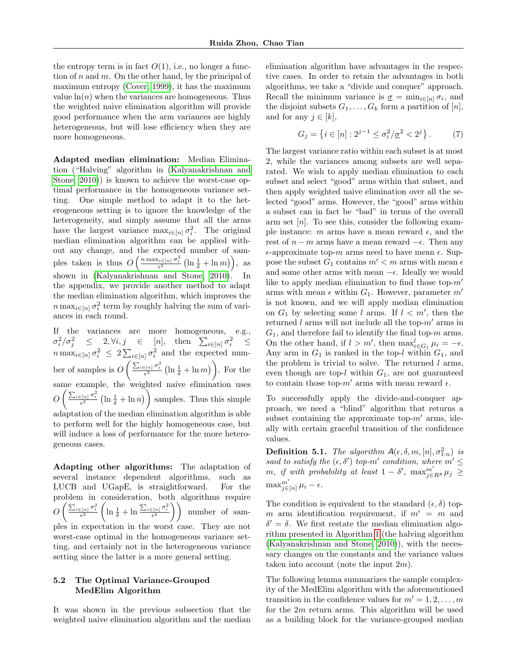the entropy term is in fact  $O(1)$ , i.e., no longer a function of n and m. On the other hand, by the principal of maximum entropy [\(Cover, 1999\)](#page-8-18), it has the maximum value  $\ln(n)$  when the variances are homogeneous. Thus the weighted naive elimination algorithm will provide good performance when the arm variances are highly heterogeneous, but will lose efficiency when they are more homogeneous.

Adapted median elimination: Median Elimination ("Halving" algorithm in [\(Kalyanakrishnan and](#page-9-2) [Stone, 2010\)](#page-9-2)) is known to achieve the worst-case optimal performance in the homogeneous variance setting. One simple method to adapt it to the heterogeneous setting is to ignore the knowledge of the heterogeneity, and simply assume that all the arms have the largest variance  $\max_{i \in [n]} \sigma_i^2$ . The original median elimination algorithm can be applied without any change, and the expected number of samples taken is thus  $O\left(\frac{n \max_{i \in [n]} \sigma_i^2}{\epsilon^2} \left(\ln \frac{1}{\delta} + \ln m\right)\right)$ , as shown in [\(Kalyanakrishnan and Stone, 2010\)](#page-9-2). In the appendix, we provide another method to adapt the median elimination algorithm, which improves the  $n \max_{i \in [n]} \sigma_i^2$  term by roughly halving the sum of variances in each round.

If the variances are more homogeneous, e.g.,  $\sigma_i^2/\sigma_j^2 \leq 2, \forall i, j \in [n], \text{ then } \sum_{i \in [n]} \sigma_i^2 \leq$  $n \max_{i \in [n]} \sigma_i^2 \leq 2 \sum_{i \in [n]} \sigma_i^2$  and the expected number of samples is  $O\left(\frac{\sum_{i\in[n]}\sigma_i^2}{\epsilon^2}\left(\ln\frac{1}{\delta}+\ln m\right)\right)$ . For the same example, the weighted naive elimination uses  $O\left(\frac{\sum_{i\in[n]}\sigma_i^2}{\epsilon^2}\left(\ln\frac{1}{\delta}+\ln n\right)\right)$  samples. Thus this simple adaptation of the median elimination algorithm is able to perform well for the highly homogeneous case, but will induce a loss of performance for the more heterogeneous cases.

Adapting other algorithms: The adaptation of several instance dependent algorithms, such as LUCB and UGapE, is straightforward. For the problem in consideration, both algorithms require  $O\left(\frac{\sum_{i\in[n]}\sigma_i^2}{\epsilon^2}\left(\ln\frac{1}{\delta}+\ln\frac{\sum_{i\in[n]}\sigma_i^2}{\epsilon^2}\right)\right)$  number of samples in expectation in the worst case. They are not worst-case optimal in the homogeneous variance setting, and certainly not in the heterogeneous variance setting since the latter is a more general setting.

## 5.2 The Optimal Variance-Grouped MedElim Algorithm

It was shown in the previous subsection that the weighted naive elimination algorithm and the median

elimination algorithm have advantages in the respective cases. In order to retain the advantages in both algorithms, we take a "divide and conquer" approach. Recall the minimum variance is  $\underline{\sigma} = \min_{i \in [n]} \sigma_i$ , and the disjoint subsets  $G_1, \ldots, G_k$  form a partition of  $[n]$ , and for any  $j \in [k]$ ,

<span id="page-4-0"></span>
$$
G_j = \left\{ i \in [n] : 2^{j-1} \le \sigma_i^2 / \underline{\sigma}^2 < 2^j \right\}. \tag{7}
$$

The largest variance ratio within each subset is at most 2, while the variances among subsets are well separated. We wish to apply median elimination to each subset and select "good" arms within that subset, and then apply weighted naive elimination over all the selected "good" arms. However, the "good" arms within a subset can in fact be "bad" in terms of the overall arm set  $[n]$ . To see this, consider the following example instance: m arms have a mean reward  $\epsilon$ , and the rest of  $n - m$  arms have a mean reward  $-\epsilon$ . Then any  $\epsilon$ -approximate top-m arms need to have mean  $\epsilon$ . Suppose the subset  $G_1$  contains  $m' < m$  arms with mean  $\epsilon$ and some other arms with mean  $-\epsilon$ . Ideally we would like to apply median elimination to find those top- $m'$ arms with mean  $\epsilon$  within  $G_1$ . However, parameter m' is not known, and we will apply median elimination on  $G_1$  by selecting some l arms. If  $l < m'$ , then the returned l arms will not include all the top- $m'$  arms in  $G_1$ , and therefore fail to identify the final top- $m$  arms. On the other hand, if  $l > m'$ , then  $\max_{i \in G_1}^l \mu_i = -\epsilon$ . Any arm in  $G_1$  is ranked in the top-l within  $G_1$ , and the problem is trivial to solve. The returned  $l$  arms, even though are top-l within  $G_1$ , are not guaranteed to contain those top- $m'$  arms with mean reward  $\epsilon$ .

To successfully apply the divide-and-conquer approach, we need a "blind" algorithm that returns a subset containing the approximate top- $m'$  arms, ideally with certain graceful transition of the confidence values.

**Definition 5.1.** The algorithm  $A(\epsilon, \delta, m, [n], \sigma_{1:n}^2)$  is said to satisfy the  $(\epsilon, \delta')$  top-m' condition, where  $m' \leq$  $m, \text{ if with probability at least } 1 - \delta', \text{ max}_{j \in R^A}^m \mu_j \geq 0$  $\max_{j\in[n]}^{m'} \mu_i - \epsilon.$ 

The condition is equivalent to the standard  $(\epsilon, \delta)$  topm arm identification requirement, if  $m' = m$  and  $\delta' = \delta$ . We first restate the median elimination algorithm presented in Algorithm [1](#page-5-0) (the halving algorithm [\(Kalyanakrishnan and Stone, 2010\)](#page-9-2)), with the necessary changes on the constants and the variance values taken into account (note the input  $2m$ ).

The following lemma summarizes the sample complexity of the MedElim algorithm with the aforementioned transition in the confidence values for  $m' = 1, 2, \ldots, m$ for the  $2m$  return arms. This algorithm will be used as a building block for the variance-grouped median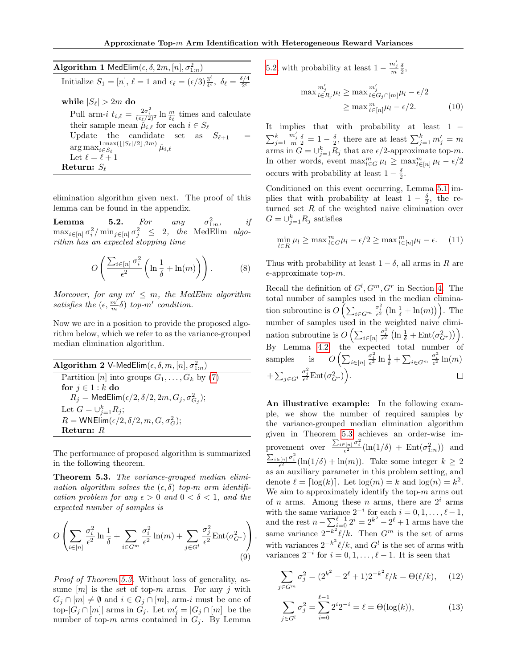<span id="page-5-0"></span>Algorithm 1 MedElim $(\epsilon, \delta, 2m, [n], \sigma_{1:n}^2)$ Initialize  $S_1 = [n], \ell = 1$  and  $\epsilon_{\ell} = (\epsilon/3) \frac{3^{\ell}}{4^{\ell}}$  $\frac{3^{\mathsf{c}}}{4^{\ell}},\ \delta_{\ell}=$  $\delta/4$ 2  $\ell$ while  $|S_{\ell}| > 2m$  do Pull arm-i  $t_{i,\ell} = \frac{2\sigma_i^2}{(\epsilon_{\ell}/2)^2} \ln \frac{m}{\delta_{\ell}}$  times and calculate their sample mean  $\hat{\mu}_{i,\ell}$  for each  $i \in S_\ell$ Update the candidate set as  $S_{\ell+1}$  $\arg \max_{i \in S_{\ell}}^{1:\max(\lfloor |S_{\ell}|/2\rfloor,2m)}$ 1:max([|Sℓ|/2],2 $m$ )  $\hat{\mu}_{i,\ell}$ Let  $\ell = \ell + 1$ Return:  $S_{\ell}$ 

elimination algorithm given next. The proof of this lemma can be found in the appendix.

<span id="page-5-2"></span>**Lemma** 5.2. For any  $_{1:n}^2$  $if$  $\max_{i \in [n]} \sigma_i^2 / \min_{j \in [n]} \sigma_j^2 \leq 2$ , the MedElim algorithm has an expected stopping time

$$
O\left(\frac{\sum_{i\in[n]} \sigma_i^2}{\epsilon^2} \left(\ln\frac{1}{\delta} + \ln(m)\right)\right). \tag{8}
$$

Moreover, for any  $m' \leq m$ , the MedElim algorithm satisfies the  $(\epsilon, \frac{m'}{m}\delta)$  top-m' condition.

Now we are in a position to provide the proposed algorithm below, which we refer to as the variance-grouped median elimination algorithm.

 $\mathbf{Algorithm} \left( \mathbf{2} \mathbf{1} \mathsf{V}\text{-}\mathsf{MedElim}(\epsilon,\delta,m,[n],\sigma_{1:n}^2 \right)$ Partition [n] into groups  $G_1, \ldots, G_k$  by [\(7\)](#page-4-0) for  $j \in 1 : k$  do  $R_j = \mathsf{MedElim}(\epsilon/2, \delta/2, 2m, G_j, \sigma^2_{G_j});$ Let  $G=\cup_{j=1}^k R_j;$  $R = \text{WNElim}(\epsilon/2, \delta/2, m, G, \sigma_G^2);$ Return: R

The performance of proposed algorithm is summarized in the following theorem.

<span id="page-5-1"></span>Theorem 5.3. The variance-grouped median elimination algorithm solves the  $(\epsilon, \delta)$  top-m arm identification problem for any  $\epsilon > 0$  and  $0 < \delta < 1$ , and the expected number of samples is

$$
O\left(\sum_{i\in[n]}\frac{\sigma_i^2}{\epsilon^2}\ln\frac{1}{\delta} + \sum_{i\in G^m}\frac{\sigma_i^2}{\epsilon^2}\ln(m) + \sum_{j\in G^l}\frac{\sigma_j^2}{\epsilon^2}\text{Ent}(\sigma_{G^r}^2)\right).
$$
\n(9)

Proof of Theorem [5.3.](#page-5-1) Without loss of generality, assume  $[m]$  is the set of top-m arms. For any j with  $G_i \cap [m] \neq \emptyset$  and  $i \in G_i \cap [m]$ , arm-i must be one of top- $|G_j \cap [m]|$  arms in  $G_j$ . Let  $m'_j = |G_j \cap [m]|$  be the number of top-m arms contained in  $G_j$ . By Lemma [5.2,](#page-5-2) with probability at least  $1 - \frac{m'_j}{m} \frac{\delta}{2}$ ,

$$
\max_{l \in R_j}^{m'_j} \mu_l \ge \max_{l \in G_j \cap [m]}^{m'_j} \mu_l - \epsilon/2
$$
  

$$
\ge \max_{l \in [n]}^m \mu_l - \epsilon/2.
$$
 (10)

It implies that with probability at least 1 −  $\sum_{j=1}^k$  $\frac{m'_j}{m} \frac{\delta}{2} = 1 - \frac{\delta}{2}$ , there are at least  $\sum_{j=1}^k m'_j = m$ arms in  $G = \bigcup_{j=1}^{k} R_j$  that are  $\epsilon/2$ -approximate top-m. In other words, event  $\max_{l \in G}^m \mu_l \geq \max_{l \in [n]}^m \mu_l - \epsilon/2$ occurs with probability at least  $1 - \frac{\delta}{2}$ .

Conditioned on this event occurring, Lemma [5.1](#page-3-1) implies that with probability at least  $1 - \frac{\delta}{2}$ , the returned set R of the weighted naive elimination over  $G=\cup_{j=1}^k R_j$  satisfies

$$
\min_{l \in R} \mu_l \ge \max_{l \in G} \mu_l - \epsilon/2 \ge \max_{l \in [n]} \mu_l - \epsilon. \tag{11}
$$

Thus with probability at least  $1 - \delta$ , all arms in R are  $\epsilon$ -approximate top-*m*.

Recall the definition of  $G^l$ ,  $G^m$ ,  $G^r$  in Section [4.](#page-3-2) The total number of samples used in the median elimination subroutine is  $O\left(\sum_{i \in G^m} \frac{\sigma_i^2}{\epsilon^2} \left(\ln \frac{1}{\delta} + \ln(m)\right)\right)$ . The number of samples used in the weighted naive elimination subroutine is  $O\left(\sum_{i\in[n]}\frac{\sigma_i^2}{\epsilon^2}\left(\ln\frac{1}{\delta}+\text{Ent}(\sigma_{G^r}^2)\right)\right)$ . By Lemma [4.2,](#page-3-3) the expected total number of  $\left( \sum_{i\in[n]}\frac{\sigma_i^2}{\epsilon^2}\ln\frac{1}{\delta} + \sum_{i\in G^m}\frac{\sigma_i^2}{\epsilon^2}\ln(m) \right)$ samples  $\frac{\sigma_j^2}{\epsilon^2} \text{Ent}(\sigma_{G^r}^2)\Big).$  $+\sum_{j\in G^l}$  $\Box$ 

An illustrative example: In the following example, we show the number of required samples by the variance-grouped median elimination algorithm given in Theorem [5.3](#page-5-1) achieves an order-wise improvement over  $\frac{\sum_{i\in[n]}\sigma_i^2}{\epsilon^2}(\ln(1/\delta) + \text{Ent}(\sigma_{1:n}^2))$  and  $\frac{\sum_{i\in[n]}\sigma_i^2}{\epsilon^2}(\ln(1/\delta) + \ln(m))$ . Take some integer  $k \geq 2$ as an auxiliary parameter in this problem setting, and denote  $\ell = \lceil \log(k) \rceil$ . Let  $\log(m) = k$  and  $\log(n) = k^2$ . We aim to approximately identify the top- $m$  arms out of *n* arms. Among these *n* arms, there are  $2^i$  arms with the same variance  $2^{-i}$  for each  $i = 0, 1, \ldots, \ell - 1$ , and the rest  $n - \sum_{i=0}^{\ell-1} 2^i = 2^{k^2} - 2^{\ell} + 1$  arms have the same variance  $2^{-k^2}\ell/k$ . Then  $G^m$  is the set of arms with variances  $2^{-k^2}\ell/k$ , and  $G^l$  is the set of arms with variances  $2^{-i}$  for  $i = 0, 1, \ldots, \ell - 1$ . It is seen that

$$
\sum_{j \in G^m} \sigma_j^2 = (2^{k^2} - 2^{\ell} + 1)2^{-k^2} \ell/k = \Theta(\ell/k), \quad (12)
$$

$$
\sum_{j \in G^l} \sigma_j^2 = \sum_{i=0}^{\ell-1} 2^i 2^{-i} = \ell = \Theta(\log(k)),\tag{13}
$$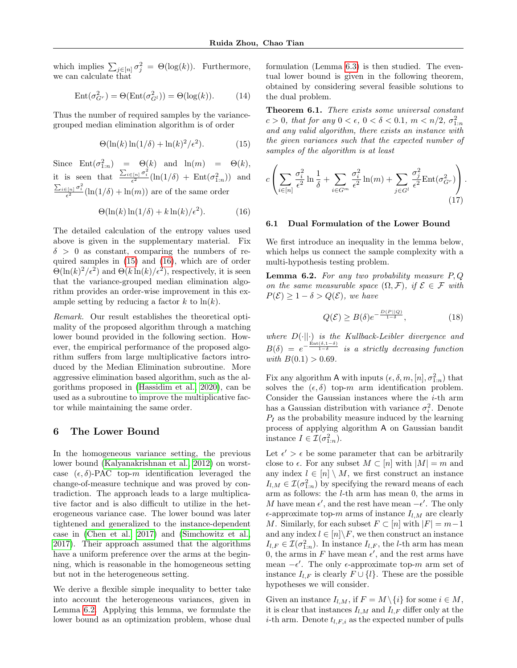which implies  $\sum_{j \in [n]} \sigma_j^2 = \Theta(\log(k))$ . Furthermore, we can calculate that

$$
Ent(\sigma_{G^r}^2) = \Theta(Ent(\sigma_{G^l}^2)) = \Theta(\log(k)). \tag{14}
$$

Thus the number of required samples by the variancegrouped median elimination algorithm is of order

$$
\Theta(\ln(k)\ln(1/\delta) + \ln(k)^2/\epsilon^2). \tag{15}
$$

Since  $Ent(\sigma_{1:n}^2) = \Theta(k)$  and  $ln(m) = \Theta(k)$ , it is seen that  $\frac{\sum_{i\in[n]}\sigma_i^2}{\epsilon^2}(\ln(1/\delta) + \text{Ent}(\sigma_{1:n}^2))$  and  $\frac{\sum_{i\in[n]}\sigma_i^2}{\epsilon^2}(\ln(1/\delta)+\ln(m))$  are of the same order

$$
\Theta(\ln(k)\ln(1/\delta) + k\ln(k)/\epsilon^2). \tag{16}
$$

The detailed calculation of the entropy values used above is given in the supplementary material. Fix  $\delta > 0$  as constant, comparing the numbers of required samples in [\(15\)](#page-6-0) and [\(16\)](#page-6-1), which are of order  $\Theta(\ln(k)^2/\epsilon^2)$  and  $\Theta(k \ln(k)/\epsilon^2)$ , respectively, it is seen that the variance-grouped median elimination algorithm provides an order-wise improvement in this example setting by reducing a factor  $k$  to  $\ln(k)$ .

Remark. Our result establishes the theoretical optimality of the proposed algorithm through a matching lower bound provided in the following section. However, the empirical performance of the proposed algorithm suffers from large multiplicative factors introduced by the Median Elimination subroutine. More aggressive elimination based algorithm, such as the algorithms proposed in [\(Hassidim et al., 2020\)](#page-8-8), can be used as a subroutine to improve the multiplicative factor while maintaining the same order.

## <span id="page-6-4"></span>6 The Lower Bound

In the homogeneous variance setting, the previous lower bound [\(Kalyanakrishnan et al., 2012\)](#page-9-1) on worstcase  $(\epsilon, \delta)$ -PAC top-m identification leveraged the change-of-measure technique and was proved by contradiction. The approach leads to a large multiplicative factor and is also difficult to utilize in the heterogeneous variance case. The lower bound was later tightened and generalized to the instance-dependent case in [\(Chen et al., 2017\)](#page-8-14) and [\(Simchowitz et al.,](#page-9-14) [2017\)](#page-9-14). Their approach assumed that the algorithms have a uniform preference over the arms at the beginning, which is reasonable in the homogeneous setting but not in the heterogeneous setting.

We derive a flexible simple inequality to better take into account the heterogeneous variances, given in Lemma [6.2.](#page-6-2) Applying this lemma, we formulate the lower bound as an optimization problem, whose dual formulation (Lemma [6.3\)](#page-7-0) is then studied. The eventual lower bound is given in the following theorem, obtained by considering several feasible solutions to the dual problem.

<span id="page-6-3"></span><span id="page-6-0"></span>Theorem 6.1. There exists some universal constant  $c > 0$ , that for any  $0 < \epsilon$ ,  $0 < \delta < 0.1$ ,  $m < n/2$ ,  $\sigma_{1:n}^2$ and any valid algorithm, there exists an instance with the given variances such that the expected number of samples of the algorithm is at least

$$
c\left(\sum_{i\in[n]}\frac{\sigma_i^2}{\epsilon^2}\ln\frac{1}{\delta} + \sum_{i\in G^m}\frac{\sigma_i^2}{\epsilon^2}\ln(m) + \sum_{j\in G^l}\frac{\sigma_j^2}{\epsilon^2}\text{Ent}(\sigma_{G^r}^2)\right).
$$
\n(17)

#### <span id="page-6-1"></span>6.1 Dual Formulation of the Lower Bound

We first introduce an inequality in the lemma below, which helps us connect the sample complexity with a multi-hypothesis testing problem.

<span id="page-6-2"></span>**Lemma 6.2.** For any two probability measure  $P, Q$ on the same measurable space  $(\Omega, \mathcal{F})$ , if  $\mathcal{E} \in \mathcal{F}$  with  $P(\mathcal{E}) > 1 - \delta > Q(\mathcal{E})$ , we have

$$
Q(\mathcal{E}) \ge B(\delta)e^{-\frac{D(P||Q)}{1-\delta}},\tag{18}
$$

where  $D(\cdot||\cdot)$  is the Kullback-Leibler divergence and  $B(\delta) = e^{-\frac{\text{Ent}(\delta,1-\delta)}{1-\delta}}$  is a strictly decreasing function with  $B(0.1) > 0.69$ .

Fix any algorithm A with inputs  $(\epsilon, \delta, m, [n], \sigma_{1:n}^2)$  that solves the  $(\epsilon, \delta)$  top-m arm identification problem. Consider the Gaussian instances where the i-th arm has a Gaussian distribution with variance  $\sigma_i^2$ . Denote  $P_I$  as the probability measure induced by the learning process of applying algorithm A on Gaussian bandit instance  $I \in \mathcal{I}(\sigma_{1:n}^2)$ .

Let  $\epsilon' > \epsilon$  be some parameter that can be arbitrarily close to  $\epsilon$ . For any subset  $M \subset [n]$  with  $|M| = m$  and any index  $l \in [n] \setminus M$ , we first construct an instance  $I_{l,M} \in \mathcal{I}(\sigma_{1:n}^2)$  by specifying the reward means of each arm as follows: the l-th arm has mean 0, the arms in M have mean  $\epsilon'$ , and the rest have mean  $-\epsilon'$ . The only  $\epsilon$ -approximate top-m arms of instance  $I_{l,M}$  are clearly M. Similarly, for each subset  $F \subset [n]$  with  $|F| = m-1$ and any index  $l \in [n] \backslash F$ , we then construct an instance  $I_{l,F} \in \mathcal{I}(\sigma_{1:n}^2)$ . In instance  $I_{l,F}$ , the *l*-th arm has mean 0, the arms in F have mean  $\epsilon'$ , and the rest arms have mean  $-\epsilon'$ . The only  $\epsilon$ -approximate top-m arm set of instance  $I_{l,F}$  is clearly  $F \cup \{l\}$ . These are the possible hypotheses we will consider.

Given an instance  $I_{l,M}$ , if  $F = M \setminus \{i\}$  for some  $i \in M$ , it is clear that instances  $I_{l,M}$  and  $I_{l,F}$  differ only at the *i*-th arm. Denote  $t_{l,F,i}$  as the expected number of pulls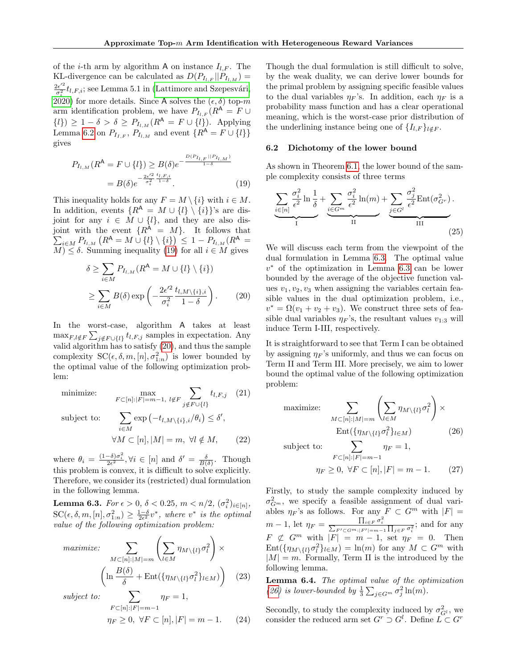of the *i*-th arm by algorithm A on instance  $I_{l,F}$ . The KL-divergence can be calculated as  $D(P_{I_{l,F}} || P_{I_{l,M}}) =$  $2\epsilon^{\prime 2}$  $\frac{\partial e^{i\alpha}}{\partial_i^2}t_{l,F,i}$ ; see Lemma 5.1 in (Lattimore and Szepesvári,  $\overline{2020}$  for more details. Since A solves the  $(\epsilon, \delta)$  top-m arm identification problem, we have  $P_{I_{L,F}} (R^{\mathsf{A}} = F \cup$  $\{l\}) \geq 1 - \delta > \delta \geq P_{I_{l,M}}(R^{\mathsf{A}} = F \cup \{l\}).$  Applying Lemma [6.2](#page-6-2) on  $P_{I_{I,F}}, P_{I_{l,M}}$  and event  $\{R^{\mathsf{A}} = F \cup \{l\}\}\$ gives

$$
P_{I_{l,M}}(R^{\mathsf{A}} = F \cup \{l\}) \ge B(\delta) e^{-\frac{D(P_{I_{l,F}}||P_{I_{l,M}})}{1-\delta}}
$$
  
=  $B(\delta) e^{-\frac{2\epsilon'^2}{\sigma_i^2} \frac{t_{l,F,i}}{1-\delta}}$ . (19)

This inequality holds for any  $F = M \setminus \{i\}$  with  $i \in M$ . In addition, events  $\{R^{\mathsf{A}} = M \cup \{l\} \setminus \{i\}\}'$ s are disjoint for any  $i \in M \cup \{l\}$ , and they are also dis- $\sum_{i \in M} P_{I_{l,M}}(R^{\mathsf{A}} = M \cup \{l\} \setminus \{i\}) \leq 1 - P_{I_{l,M}}(R^{\mathsf{A}} =$ joint with the event  $\{R^{\mathsf{A}} = M\}$ . It follows that  $\overline{M} \leq \delta$ . Summing inequality [\(19\)](#page-7-1) for all  $i \in M$  gives

$$
\delta \ge \sum_{i \in M} P_{I_{l,M}}(R^{\mathsf{A}} = M \cup \{l\} \setminus \{i\})
$$

$$
\ge \sum_{i \in M} B(\delta) \exp\left(-\frac{2\epsilon'^2}{\sigma_i^2} \frac{t_{l,M \setminus \{i\},i}}{1-\delta}\right). \tag{20}
$$

In the worst-case, algorithm A takes at least  $\max_{F,l \notin F} \sum_{j \notin F \cup \{l\}} t_{l,F,j}$  samples in expectation. Any valid algorithm has to satisfy [\(20\)](#page-7-2), and thus the sample complexity  $SC(\epsilon, \delta, m, [n], \sigma_{1:n}^2)$  is lower bounded by the optimal value of the following optimization problem:

minimize:  $\max_{F \subset [n]:|F| = m-1, \ l \notin F}$  $\sum$  $j \notin F \cup \{l\}$  $t_{l,F,j}$  (21) subject to: i∈M  $\exp(-t_{l,M\setminus\{i\},i}/\theta_i) \leq \delta',$  $\forall M \subset [n], |M| = m, \ \forall l \notin M,$  (22)

where  $\theta_i = \frac{(1-\delta)\sigma_i^2}{2\epsilon^2}$ ,  $\forall i \in [n]$  and  $\delta' = \frac{\delta}{B(\delta)}$ . Though this problem is convex, it is difficult to solve explicitly. Therefore, we consider its (restricted) dual formulation in the following lemma.

<span id="page-7-0"></span>Lemma 6.3.  $For \epsilon > 0, \delta < 0.25, m < n/2, (\sigma_i^2)_{i \in [n]},$  $SC(\epsilon, \delta, m, [n], \sigma_{1:n}^2) \geq \frac{1-\delta}{2\epsilon^2}v^*$ , where  $v^*$  is the optimal value of the following optimization problem:

$$
\text{maximize:} \quad \sum_{M \subset [n]: |M| = m} \left( \sum_{l \in M} \eta_{M \setminus \{l\}} \sigma_l^2 \right) \times \left( \ln \frac{B(\delta)}{\delta} + \text{Ent}(\{\eta_{M \setminus \{l\}} \sigma_l^2\}_{l \in M}) \right) \quad (23)
$$
\n
$$
\text{subject to:} \quad \sum \eta_F = 1,
$$

subject to:

$$
F\subset [n]:|F|=m-1
$$
  
\n
$$
\eta_F \ge 0, \ \forall F \subset [n], |F| = m-1.
$$
 (24)

Though the dual formulation is still difficult to solve, by the weak duality, we can derive lower bounds for the primal problem by assigning specific feasible values to the dual variables  $\eta_F$ 's. In addition, each  $\eta_F$  is a probability mass function and has a clear operational meaning, which is the worst-case prior distribution of the underlining instance being one of  $\{I_{l,F}\}_{l \notin F}$ .

### 6.2 Dichotomy of the lower bound

<span id="page-7-1"></span>As shown in Theorem [6.1,](#page-6-3) the lower bound of the sample complexity consists of three terms

$$
\underbrace{\sum_{i \in [n]} \frac{\sigma_i^2}{\epsilon^2} \ln \frac{1}{\delta}}_{\text{I}} + \underbrace{\sum_{i \in G^m} \frac{\sigma_i^2}{\epsilon^2} \ln(m)}_{\text{II}} + \underbrace{\sum_{j \in G^l} \frac{\sigma_j^2}{\epsilon^2} \text{Ent}(\sigma_{G^r}^2)}_{\text{III}}.
$$
\n(25)

<span id="page-7-2"></span>We will discuss each term from the viewpoint of the dual formulation in Lemma [6.3.](#page-7-0) The optimal value v <sup>∗</sup> of the optimization in Lemma [6.3](#page-7-0) can be lower bounded by the average of the objective function values  $v_1, v_2, v_3$  when assigning the variables certain feasible values in the dual optimization problem, i.e.,  $v^* = \Omega(v_1 + v_2 + v_3)$ . We construct three sets of feasible dual variables  $\eta_F$ 's, the resultant values  $v_{1:3}$  will induce Term I-III, respectively.

It is straightforward to see that Term I can be obtained by assigning  $\eta_F$ 's uniformly, and thus we can focus on Term II and Term III. More precisely, we aim to lower bound the optimal value of the following optimization problem:

maximize: 
$$
\sum_{M \subset [n]:|M|=m} \left( \sum_{l \in M} \eta_{M \setminus \{l\}} \sigma_l^2 \right) \times
$$

$$
\text{Ent}(\{\eta_{M \setminus \{l\}} \sigma_l^2\}_{l \in M})
$$
(26)

subject to:  $\sum$ 

$$
\eta_F \ge 0, \ \forall F \subset [n], |F| = m - 1. \tag{27}
$$

<span id="page-7-3"></span> $\eta_F = 1,$ 

Firstly, to study the sample complexity induced by  $\sigma_{G^m}^2$ , we specify a feasible assignment of dual variables  $\eta_F$ 's as follows. For any  $F \subset G^m$  with  $|F| =$  $m-1$ , let  $\eta_F = \frac{\prod_{i \in F} \sigma_i^2}{\sum_{F' \subset G^m : |F'| = m-1} \prod_{j \in F} \sigma_i^2}$ ; and for any  $F \not\subset G^m$  with  $|F| = m - 1$ , set  $\eta_F = 0$ . Then  $Ent(\{\eta_{M\setminus\{l\}}\sigma_l^2\}_{l\in M}) = \ln(m)$  for any  $M \subset G^m$  with  $|M| = m$ . Formally, Term II is the introduced by the following lemma.

 $F \subset [n]:|F| = m-1$ 

<span id="page-7-4"></span>Lemma 6.4. The optimal value of the optimization [\(26\)](#page-7-3) is lower-bounded by  $\frac{1}{3} \sum_{j \in G^m} \sigma_j^2 \ln(m)$ .

Secondly, to study the complexity induced by  $\sigma_{G^l}^2$ , we consider the reduced arm set  $G^r \supset G^l$ . Define  $\check{L} \subset G^r$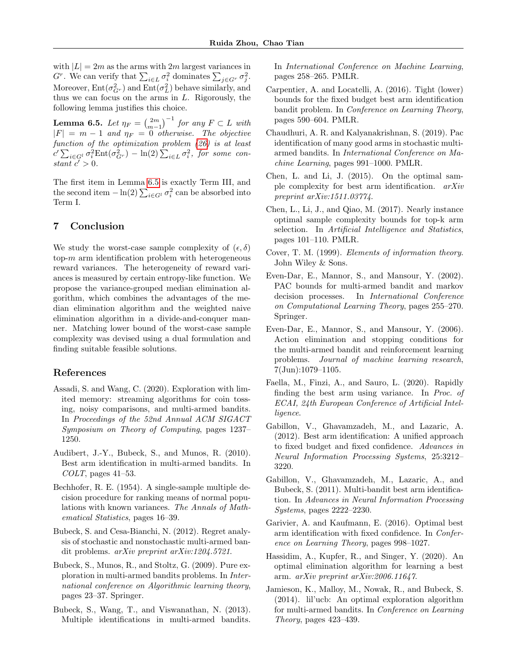with  $|L| = 2m$  as the arms with  $2m$  largest variances in  $G<sup>r</sup>$ . We can verify that  $\sum_{i \in L} \sigma_i^2$  dominates  $\sum_{j \in G<sup>r</sup>} \sigma_j^2$ . Moreover,  $Ent(\sigma_{G^r}^2)$  and  $Ent(\sigma_L^2)$  behave similarly, and thus we can focus on the arms in  $L$ . Rigorously, the following lemma justifies this choice.

<span id="page-8-19"></span>**Lemma 6.5.** Let  $\eta_F = \left(\frac{2m}{m-1}\right)^{-1}$  for any  $F \subset L$  with  $|F| = m - 1$  and  $\eta_F = 0$  otherwise. The objective function of the optimization problem [\(26\)](#page-7-3) is at least  $c' \sum_{i \in G^l} \sigma_i^2 \text{Ent}(\sigma_{G^r}^2) - \ln(2) \sum_{i \in L} \sigma_i^2$ , for some constant  $c' > 0$ .

The first item in Lemma [6.5](#page-8-19) is exactly Term III, and the second item  $-\ln(2) \sum_{i \in G^l} \sigma_i^2$  can be absorbed into Term I.

## 7 Conclusion

We study the worst-case sample complexity of  $(\epsilon, \delta)$ top- $m$  arm identification problem with heterogeneous reward variances. The heterogeneity of reward variances is measured by certain entropy-like function. We propose the variance-grouped median elimination algorithm, which combines the advantages of the median elimination algorithm and the weighted naive elimination algorithm in a divide-and-conquer manner. Matching lower bound of the worst-case sample complexity was devised using a dual formulation and finding suitable feasible solutions.

## References

- <span id="page-8-12"></span>Assadi, S. and Wang, C. (2020). Exploration with limited memory: streaming algorithms for coin tossing, noisy comparisons, and multi-armed bandits. In Proceedings of the 52nd Annual ACM SIGACT Symposium on Theory of Computing, pages 1237– 1250.
- <span id="page-8-4"></span>Audibert, J.-Y., Bubeck, S., and Munos, R. (2010). Best arm identification in multi-armed bandits. In  $COLT$ , pages 41–53.
- <span id="page-8-15"></span>Bechhofer, R. E. (1954). A single-sample multiple decision procedure for ranking means of normal populations with known variances. The Annals of Mathematical Statistics, pages 16–39.
- <span id="page-8-3"></span>Bubeck, S. and Cesa-Bianchi, N. (2012). Regret analysis of stochastic and nonstochastic multi-armed bandit problems. arXiv preprint arXiv:1204.5721.
- <span id="page-8-0"></span>Bubeck, S., Munos, R., and Stoltz, G. (2009). Pure exploration in multi-armed bandits problems. In International conference on Algorithmic learning theory, pages 23–37. Springer.
- <span id="page-8-5"></span>Bubeck, S., Wang, T., and Viswanathan, N. (2013). Multiple identifications in multi-armed bandits.

In International Conference on Machine Learning, pages 258–265. PMLR.

- <span id="page-8-6"></span>Carpentier, A. and Locatelli, A. (2016). Tight (lower) bounds for the fixed budget best arm identification bandit problem. In Conference on Learning Theory, pages 590–604. PMLR.
- <span id="page-8-13"></span>Chaudhuri, A. R. and Kalyanakrishnan, S. (2019). Pac identification of many good arms in stochastic multiarmed bandits. In International Conference on Machine Learning, pages 991–1000. PMLR.
- <span id="page-8-10"></span>Chen, L. and Li, J. (2015). On the optimal sample complexity for best arm identification. arXiv preprint arXiv:1511.03774.
- <span id="page-8-14"></span>Chen, L., Li, J., and Qiao, M. (2017). Nearly instance optimal sample complexity bounds for top-k arm selection. In *Artificial Intelligence and Statistics*, pages 101–110. PMLR.
- <span id="page-8-18"></span>Cover, T. M. (1999). Elements of information theory. John Wiley & Sons.
- <span id="page-8-1"></span>Even-Dar, E., Mannor, S., and Mansour, Y. (2002). PAC bounds for multi-armed bandit and markov decision processes. In International Conference on Computational Learning Theory, pages 255–270. Springer.
- <span id="page-8-7"></span>Even-Dar, E., Mannor, S., and Mansour, Y. (2006). Action elimination and stopping conditions for the multi-armed bandit and reinforcement learning problems. Journal of machine learning research, 7(Jun):1079–1105.
- <span id="page-8-16"></span>Faella, M., Finzi, A., and Sauro, L. (2020). Rapidly finding the best arm using variance. In Proc. of ECAI, 24th European Conference of Artificial Intelligence.
- <span id="page-8-2"></span>Gabillon, V., Ghavamzadeh, M., and Lazaric, A. (2012). Best arm identification: A unified approach to fixed budget and fixed confidence. Advances in Neural Information Processing Systems, 25:3212– 3220.
- <span id="page-8-17"></span>Gabillon, V., Ghavamzadeh, M., Lazaric, A., and Bubeck, S. (2011). Multi-bandit best arm identification. In Advances in Neural Information Processing Systems, pages 2222–2230.
- <span id="page-8-11"></span>Garivier, A. and Kaufmann, E. (2016). Optimal best arm identification with fixed confidence. In Conference on Learning Theory, pages 998–1027.
- <span id="page-8-8"></span>Hassidim, A., Kupfer, R., and Singer, Y. (2020). An optimal elimination algorithm for learning a best arm. arXiv preprint arXiv:2006.11647.
- <span id="page-8-9"></span>Jamieson, K., Malloy, M., Nowak, R., and Bubeck, S. (2014). lil'ucb: An optimal exploration algorithm for multi-armed bandits. In Conference on Learning Theory, pages 423–439.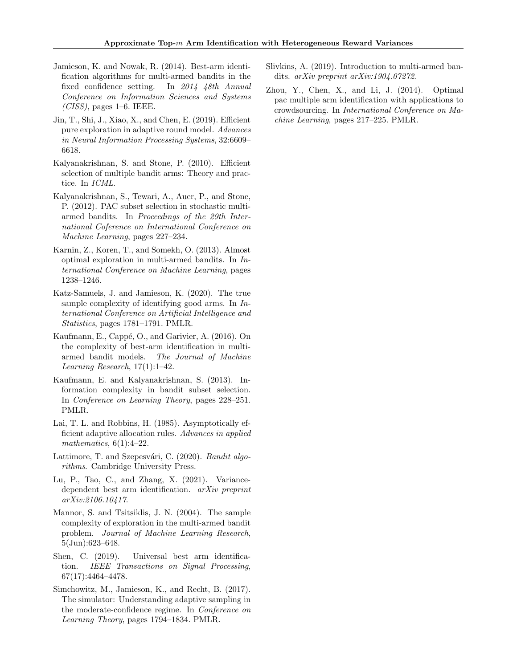- <span id="page-9-5"></span>Jamieson, K. and Nowak, R. (2014). Best-arm identification algorithms for multi-armed bandits in the fixed confidence setting. In 2014 48th Annual Conference on Information Sciences and Systems  $(CISS)$ , pages 1–6. IEEE.
- <span id="page-9-12"></span>Jin, T., Shi, J., Xiao, X., and Chen, E. (2019). Efficient pure exploration in adaptive round model. Advances in Neural Information Processing Systems, 32:6609– 6618.
- <span id="page-9-2"></span>Kalyanakrishnan, S. and Stone, P. (2010). Efficient selection of multiple bandit arms: Theory and practice. In ICML.
- <span id="page-9-1"></span>Kalyanakrishnan, S., Tewari, A., Auer, P., and Stone, P. (2012). PAC subset selection in stochastic multiarmed bandits. In Proceedings of the 29th International Coference on International Conference on Machine Learning, pages 227–234.
- <span id="page-9-8"></span>Karnin, Z., Koren, T., and Somekh, O. (2013). Almost optimal exploration in multi-armed bandits. In International Conference on Machine Learning, pages 1238–1246.
- <span id="page-9-7"></span>Katz-Samuels, J. and Jamieson, K. (2020). The true sample complexity of identifying good arms. In International Conference on Artificial Intelligence and Statistics, pages 1781–1791. PMLR.
- <span id="page-9-9"></span>Kaufmann, E., Cappé, O., and Garivier, A. (2016). On the complexity of best-arm identification in multiarmed bandit models. The Journal of Machine Learning Research, 17(1):1–42.
- <span id="page-9-13"></span>Kaufmann, E. and Kalyanakrishnan, S. (2013). Information complexity in bandit subset selection. In Conference on Learning Theory, pages 228–251. PMLR.
- <span id="page-9-3"></span>Lai, T. L. and Robbins, H. (1985). Asymptotically efficient adaptive allocation rules. Advances in applied mathematics,  $6(1):4-22$ .
- <span id="page-9-0"></span>Lattimore, T. and Szepesvári, C. (2020). Bandit algorithms. Cambridge University Press.
- <span id="page-9-15"></span>Lu, P., Tao, C., and Zhang, X. (2021). Variancedependent best arm identification. arXiv preprint arXiv:2106.10417.
- <span id="page-9-6"></span>Mannor, S. and Tsitsiklis, J. N. (2004). The sample complexity of exploration in the multi-armed bandit problem. Journal of Machine Learning Research, 5(Jun):623–648.
- <span id="page-9-11"></span>Shen, C. (2019). Universal best arm identification. IEEE Transactions on Signal Processing, 67(17):4464–4478.
- <span id="page-9-14"></span>Simchowitz, M., Jamieson, K., and Recht, B. (2017). The simulator: Understanding adaptive sampling in the moderate-confidence regime. In Conference on Learning Theory, pages 1794–1834. PMLR.
- <span id="page-9-4"></span>Slivkins, A. (2019). Introduction to multi-armed bandits. arXiv preprint arXiv:1904.07272.
- <span id="page-9-10"></span>Zhou, Y., Chen, X., and Li, J. (2014). Optimal pac multiple arm identification with applications to crowdsourcing. In International Conference on Machine Learning, pages 217–225. PMLR.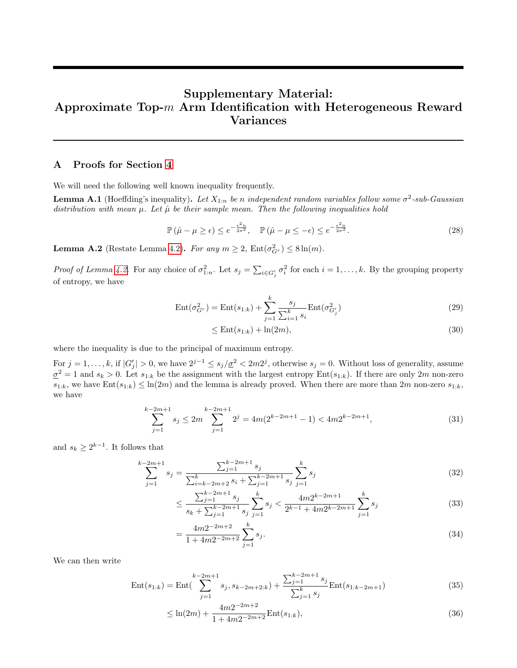# Supplementary Material: Approximate Top-m Arm Identification with Heterogeneous Reward Variances

## A Proofs for Section [4](#page-3-2)

We will need the following well known inequality frequently.

<span id="page-10-0"></span>**Lemma A.1** (Hoeffding's inequality). Let  $X_{1:n}$  be n independent random variables follow some  $\sigma^2$ -sub-Gaussian distribution with mean  $\mu$ . Let  $\hat{\mu}$  be their sample mean. Then the following inequalities hold

$$
\mathbb{P}\left(\hat{\mu} - \mu \geq \epsilon\right) \leq e^{-\frac{\epsilon^2 n}{2\sigma^2}}, \quad \mathbb{P}\left(\hat{\mu} - \mu \leq -\epsilon\right) \leq e^{-\frac{\epsilon^2 n}{2\sigma^2}}.
$$
\n
$$
(28)
$$

**Lemma A.2** (Restate Lemma [4.2\)](#page-3-3). For any  $m \ge 2$ ,  $Ent(\sigma_{G_r}^2) \le 8 \ln(m)$ .

*Proof of Lemma [4.2.](#page-3-3)* For any choice of  $\sigma_{1:n}^2$ . Let  $s_j = \sum_{i \in G'_j} \sigma_i^2$  for each  $i = 1, \ldots, k$ . By the grouping property of entropy, we have

$$
Ent(\sigma_{G^r}^2) = Ent(s_{1:k}) + \sum_{j=1}^k \frac{s_j}{\sum_{i=1}^k s_i} Ent(\sigma_{G'_j}^2)
$$
\n(29)

$$
\leq \text{Ent}(s_{1:k}) + \ln(2m),\tag{30}
$$

where the inequality is due to the principal of maximum entropy.

For  $j = 1, \ldots, k$ , if  $|G'_j| > 0$ , we have  $2^{j-1} \le s_j/\underline{\sigma}^2 < 2m2^j$ , otherwise  $s_j = 0$ . Without loss of generality, assume  $\underline{\sigma}^2 = 1$  and  $s_k > 0$ . Let  $s_{1:k}$  be the assignment with the largest entropy Ent $(s_{1:k})$ . If there are only  $2m$  non-zero  $s_{1:k}$ , we have  $Ent(s_{1:k}) \leq ln(2m)$  and the lemma is already proved. When there are more than  $2m$  non-zero  $s_{1:k}$ , we have

$$
\sum_{j=1}^{k-2m+1} s_j \le 2m \sum_{j=1}^{k-2m+1} 2^j = 4m(2^{k-2m+1} - 1) < 4m2^{k-2m+1},\tag{31}
$$

and  $s_k \geq 2^{k-1}$ . It follows that

$$
\sum_{j=1}^{k-2m+1} s_j = \frac{\sum_{j=1}^{k-2m+1} s_j}{\sum_{i=k-2m+2}^{k} s_i + \sum_{j=1}^{k-2m+1} s_j} \sum_{j=1}^{k} s_j
$$
\n(32)

$$
\leq \frac{\sum_{j=1}^{k-2m+1} s_j}{s_k + \sum_{j=1}^{k-2m+1} s_j} \sum_{j=1}^k s_j < \frac{4m2^{k-2m+1}}{2^{k-1} + 4m2^{k-2m+1}} \sum_{j=1}^k s_j \tag{33}
$$

$$
=\frac{4m2^{-2m+2}}{1+4m2^{-2m+2}}\sum_{j=1}^{k}s_j.
$$
\n(34)

We can then write

$$
Ent(s_{1:k}) = Ent\left(\sum_{j=1}^{k-2m+1} s_j, s_{k-2m+2:k}\right) + \frac{\sum_{j=1}^{k-2m+1} s_j}{\sum_{j=1}^k s_j} Ent(s_{1:k-2m+1})\tag{35}
$$

$$
\leq \ln(2m) + \frac{4m2^{-2m+2}}{1+4m2^{-2m+2}} \text{Ent}(s_{1:k}),\tag{36}
$$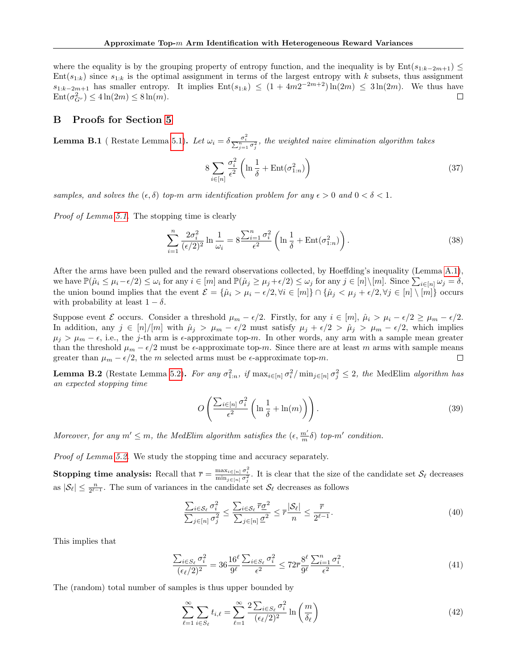where the equality is by the grouping property of entropy function, and the inequality is by  $Ent(s_{1:k-2m+1}) \leq$  $Ent(s_{1:k})$  since  $s_{1:k}$  is the optimal assignment in terms of the largest entropy with k subsets, thus assignment  $s_{1:k-2m+1}$  has smaller entropy. It implies  $Ent(s_{1:k}) \leq (1+4m2^{-2m+2})\ln(2m) \leq 3\ln(2m)$ . We thus have  $\text{Ent}(\sigma_{G^r}^2) \leq 4\ln(2m) \leq 8\ln(m).$  $\Box$ 

## B Proofs for Section [5](#page-3-4)

**Lemma B.1** (Restate Lemma [5.1\)](#page-3-1). Let  $\omega_i = \delta \frac{\sigma_i^2}{\sum_{j=1}^n \sigma_j^2}$ , the weighted naive elimination algorithm takes

<span id="page-11-0"></span>
$$
8\sum_{i\in[n]}\frac{\sigma_i^2}{\epsilon^2}\left(\ln\frac{1}{\delta} + \text{Ent}(\sigma_{1:n}^2)\right) \tag{37}
$$

samples, and solves the  $(\epsilon, \delta)$  top-m arm identification problem for any  $\epsilon > 0$  and  $0 < \delta < 1$ .

Proof of Lemma [5.1.](#page-3-1) The stopping time is clearly

$$
\sum_{i=1}^{n} \frac{2\sigma_i^2}{(\epsilon/2)^2} \ln \frac{1}{\omega_i} = 8 \frac{\sum_{i=1}^{n} \sigma_i^2}{\epsilon^2} \left( \ln \frac{1}{\delta} + \text{Ent}(\sigma_{1:n}^2) \right). \tag{38}
$$

After the arms have been pulled and the reward observations collected, by Hoeffding's inequality (Lemma [A.1\)](#page-10-0), we have  $\mathbb{P}(\hat{\mu}_i \leq \mu_i - \epsilon/2) \leq \omega_i$  for any  $i \in [m]$  and  $\mathbb{P}(\hat{\mu}_j \geq \mu_j + \epsilon/2) \leq \omega_j$  for any  $j \in [n] \setminus [m]$ . Since  $\sum_{i \in [n]} \omega_j = \delta$ , the union bound implies that the event  $\mathcal{E} = \{\hat{\mu}_i > \mu_i - \epsilon/2, \forall i \in [m]\} \cap \{\hat{\mu}_j < \mu_j + \epsilon/2, \forall j \in [n] \setminus [m]\}$  occurs with probability at least  $1 - \delta$ .

Suppose event E occurs. Consider a threshold  $\mu_m - \epsilon/2$ . Firstly, for any  $i \in [m]$ ,  $\hat{\mu}_i > \mu_i - \epsilon/2 \ge \mu_m - \epsilon/2$ . In addition, any  $j \in [n]/[m]$  with  $\hat{\mu}_j > \mu_m - \epsilon/2$  must satisfy  $\mu_j + \epsilon/2 > \hat{\mu}_j > \mu_m - \epsilon/2$ , which implies  $\mu_j > \mu_m - \epsilon$ , i.e., the j-th arm is  $\epsilon$ -approximate top-m. In other words, any arm with a sample mean greater than the threshold  $\mu_m - \epsilon/2$  must be  $\epsilon$ -approximate top-m. Since there are at least m arms with sample means greater than  $\mu_m - \epsilon/2$ , the m selected arms must be  $\epsilon$ -approximate top-m.  $\Box$ 

**Lemma B.2** (Restate Lemma [5.2\)](#page-5-2). For any  $\sigma_{1:n}^2$ , if  $\max_{i \in [n]} \sigma_i^2 / \min_{j \in [n]} \sigma_j^2 \leq 2$ , the MedElim algorithm has an expected stopping time

$$
O\left(\frac{\sum_{i\in[n]} \sigma_i^2}{\epsilon^2} \left(\ln\frac{1}{\delta} + \ln(m)\right)\right).
$$
\n(39)

Moreover, for any  $m' \leq m$ , the MedElim algorithm satisfies the  $(\epsilon, \frac{m'}{m}\delta)$  top-m' condition.

Proof of Lemma [5.2.](#page-5-2) We study the stopping time and accuracy separately.

**Stopping time analysis:** Recall that  $\bar{r} = \frac{\max_{i \in [n]} \sigma_i^2}{\min_{j \in [n]} \sigma_j^2}$ . It is clear that the size of the candidate set  $S_{\ell}$  decreases as  $|\mathcal{S}_{\ell}| \leq \frac{n}{2^{\ell-1}}$ . The sum of variances in the candidate set  $\mathcal{S}_{\ell}$  decreases as follows

$$
\frac{\sum_{i \in \mathcal{S}_{\ell}} \sigma_i^2}{\sum_{j \in [n]} \sigma_j^2} \le \frac{\sum_{i \in \mathcal{S}_{\ell}} \overline{r} \underline{\sigma}^2}{\sum_{j \in [n]} \underline{\sigma}^2} \le \overline{r} \frac{|\mathcal{S}_{\ell}|}{n} \le \frac{\overline{r}}{2^{\ell - 1}}.
$$
\n(40)

This implies that

$$
\frac{\sum_{i \in S_{\ell}} \sigma_i^2}{(\epsilon_{\ell}/2)^2} = 36 \frac{16^{\ell}}{9^{\ell}} \frac{\sum_{i \in S_{\ell}} \sigma_i^2}{\epsilon^2} \le 72 \overline{r} \frac{8^{\ell}}{9^{\ell}} \frac{\sum_{i=1}^n \sigma_i^2}{\epsilon^2}.
$$
\n
$$
(41)
$$

The (random) total number of samples is thus upper bounded by

$$
\sum_{\ell=1}^{\infty} \sum_{i \in S_{\ell}} t_{i,\ell} = \sum_{\ell=1}^{\infty} \frac{2 \sum_{i \in S_{\ell}} \sigma_i^2}{(\epsilon_{\ell}/2)^2} \ln\left(\frac{m}{\delta_{\ell}}\right)
$$
(42)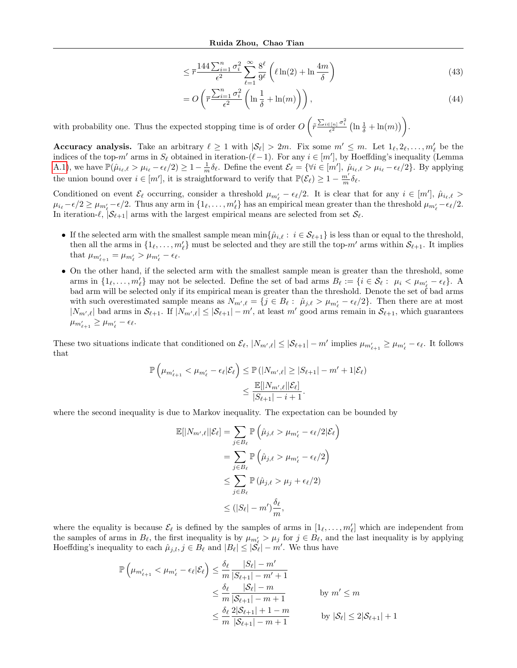$$
\leq \overline{r} \frac{144 \sum_{i=1}^{n} \sigma_i^2}{\epsilon^2} \sum_{\ell=1}^{\infty} \frac{8^{\ell}}{9^{\ell}} \left( \ell \ln(2) + \ln \frac{4m}{\delta} \right) \tag{43}
$$

$$
= O\left(\overline{r} \frac{\sum_{i=1}^{n} \sigma_i^2}{\epsilon^2} \left(\ln \frac{1}{\delta} + \ln(m)\right)\right),\tag{44}
$$

with probability one. Thus the expected stopping time is of order  $O\left(\tilde{r} \frac{\sum_{i\in[n]} \sigma_i^2}{\epsilon^2} \left(\ln\frac{1}{\delta} + \ln(m)\right)\right)$ .

Accuracy analysis. Take an arbitrary  $\ell \geq 1$  with  $|\mathcal{S}_{\ell}| > 2m$ . Fix some  $m' \leq m$ . Let  $1_{\ell}, 2_{\ell}, \ldots, m'_{\ell}$  be the indices of the top- $m'$  arms in  $S_\ell$  obtained in iteration-( $\ell$ -1). For any  $i \in [m']$ , by Hoeffding's inequality (Lemma [A.1\)](#page-10-0), we have  $\mathbb{P}(\hat{\mu}_{i_\ell,\ell} > \mu_{i_\ell} - \epsilon_\ell/2) \geq 1 - \frac{1}{m} \delta_\ell$ . Define the event  $\mathcal{E}_\ell = \{ \forall i \in [m'], \ \hat{\mu}_{i_\ell,\ell} > \mu_{i_\ell} - \epsilon_\ell/2 \}$ . By applying the union bound over  $i \in [m']$ , it is straightforward to verify that  $\mathbb{P}(\mathcal{E}_{\ell}) \geq 1 - \frac{m'}{m} \delta_{\ell}$ .

Conditioned on event  $\mathcal{E}_{\ell}$  occurring, consider a threshold  $\mu_{m'_{\ell}} - \epsilon_{\ell}/2$ . It is clear that for any  $i \in [m']$ ,  $\hat{\mu}_{i_{\ell},\ell} >$  $\mu_{i_\ell} - \epsilon/2 \ge \mu_{m'_\ell} - \epsilon/2$ . Thus any arm in  $\{1_\ell, \ldots, m'_\ell\}$  has an empirical mean greater than the threshold  $\mu_{m'_\ell} - \epsilon_\ell/2$ . In iteration- $\ell$ ,  $|\mathcal{S}_{\ell+1}|$  arms with the largest empirical means are selected from set  $\mathcal{S}_{\ell}$ .

- If the selected arm with the smallest sample mean  $\min\{\hat{\mu}_{i,\ell}: i \in \mathcal{S}_{\ell+1}\}\$ is less than or equal to the threshold, then all the arms in  $\{1_\ell, \ldots, m'_\ell\}$  must be selected and they are still the top- $m'$  arms within  $S_{\ell+1}$ . It implies that  $\mu_{m'_{\ell+1}} = \mu_{m'_{\ell}} > \mu_{m'_{\ell}} - \epsilon_{\ell}.$
- On the other hand, if the selected arm with the smallest sample mean is greater than the threshold, some arms in  $\{1_\ell, \ldots, m'_\ell\}$  may not be selected. Define the set of bad arms  $B_\ell := \{i \in \mathcal{S}_\ell : \mu_i < \mu_{m'_\ell} - \epsilon_\ell\}$ . A bad arm will be selected only if its empirical mean is greater than the threshold. Denote the set of bad arms with such overestimated sample means as  $N_{m',\ell} = \{j \in B_{\ell} : \hat{\mu}_{j,\ell} > \mu_{m'_\ell} - \epsilon_{\ell}/2\}$ . Then there are at most  $|N_{m',\ell}|$  bad arms in  $\mathcal{S}_{\ell+1}$ . If  $|N_{m',\ell}| \leq |\mathcal{S}_{\ell+1}| - m'$ , at least m' good arms remain in  $\mathcal{S}_{\ell+1}$ , which guarantees  $\mu_{m'_{\ell+1}} \geq \mu_{m'_\ell} - \epsilon_\ell.$

These two situations indicate that conditioned on  $\mathcal{E}_{\ell}$ ,  $|N_{m',\ell}| \leq |\mathcal{S}_{\ell+1}| - m'$  implies  $\mu_{m'_{\ell+1}} \geq \mu_{m'_{\ell}} - \epsilon_{\ell}$ . It follows that

$$
\mathbb{P}\left(\mu_{m'_{\ell+1}} < \mu_{m'_{\ell}} - \epsilon_{\ell}|\mathcal{E}_{\ell}\right) \leq \mathbb{P}\left(|N_{m',\ell}| \geq |S_{\ell+1}| - m' + 1|\mathcal{E}_{\ell}\right)
$$
\n
$$
\leq \frac{\mathbb{E}[|N_{m',\ell}||\mathcal{E}_{\ell}]}{|S_{\ell+1}| - i + 1}.
$$

where the second inequality is due to Markov inequality. The expectation can be bounded by

$$
\mathbb{E}[|N_{m',\ell}||\mathcal{E}_{\ell}] = \sum_{j \in B_{\ell}} \mathbb{P}\left(\hat{\mu}_{j,\ell} > \mu_{m'_{\ell}} - \epsilon_{\ell}/2|\mathcal{E}_{\ell}\right)
$$
  

$$
= \sum_{j \in B_{\ell}} \mathbb{P}\left(\hat{\mu}_{j,\ell} > \mu_{m'_{\ell}} - \epsilon_{\ell}/2\right)
$$
  

$$
\leq \sum_{j \in B_{\ell}} \mathbb{P}\left(\hat{\mu}_{j,\ell} > \mu_{j} + \epsilon_{\ell}/2\right)
$$
  

$$
\leq (|S_{\ell}| - m') \frac{\delta_{\ell}}{m},
$$

where the equality is because  $\mathcal{E}_{\ell}$  is defined by the samples of arms in  $[1_{\ell}, \ldots, m'_{\ell}]$  which are independent from the samples of arms in  $B_\ell$ , the first inequality is by  $\mu_{m'_\ell} > \mu_j$  for  $j \in B_\ell$ , and the last inequality is by applying Hoeffding's inequality to each  $\hat{\mu}_{j,l}$ ,  $j \in B_{\ell}$  and  $|B_{\ell}| \leq |\mathcal{S}_{\ell}| - m'$ . We thus have

$$
\mathbb{P}\left(\mu_{m'_{\ell+1}} < \mu_{m'_{\ell}} - \epsilon_{\ell}|\mathcal{E}_{\ell}\right) \le \frac{\delta_{\ell}}{m} \frac{|S_{\ell}| - m'}{|S_{\ell+1}| - m' + 1}
$$
\n
$$
\le \frac{\delta_{\ell}}{m} \frac{|S_{\ell}| - m}{|S_{\ell+1}| - m + 1} \qquad \text{by } m' \le m
$$
\n
$$
\le \frac{\delta_{\ell}}{m} \frac{2|S_{\ell+1}| + 1 - m}{|S_{\ell+1}| - m + 1} \qquad \text{by } |S_{\ell}| \le 2|S_{\ell+1}| + 1
$$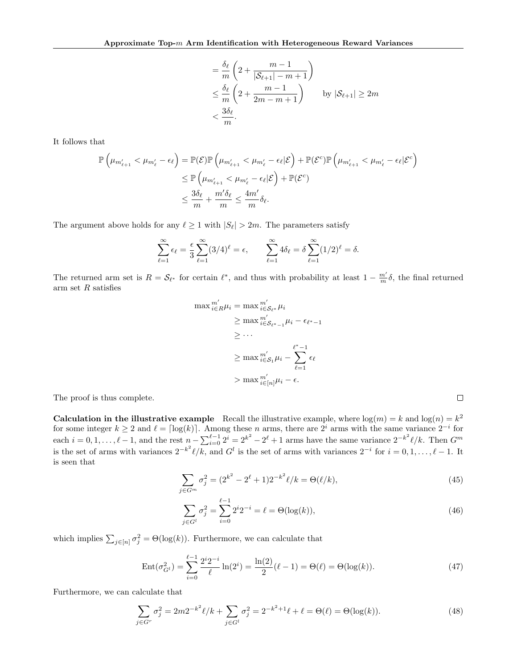$$
= \frac{\delta_{\ell}}{m} \left( 2 + \frac{m-1}{|\mathcal{S}_{\ell+1}| - m + 1} \right)
$$
  
\n
$$
\leq \frac{\delta_{\ell}}{m} \left( 2 + \frac{m-1}{2m - m + 1} \right) \qquad \text{by } |\mathcal{S}_{\ell+1}| \geq 2m
$$
  
\n
$$
< \frac{3\delta_{\ell}}{m}.
$$

It follows that

$$
\mathbb{P}\left(\mu_{m'_{\ell+1}} < \mu_{m'_{\ell}} - \epsilon_{\ell}\right) = \mathbb{P}(\mathcal{E})\mathbb{P}\left(\mu_{m'_{\ell+1}} < \mu_{m'_{\ell}} - \epsilon_{\ell}|\mathcal{E}\right) + \mathbb{P}(\mathcal{E}^c)\mathbb{P}\left(\mu_{m'_{\ell+1}} < \mu_{m'_{\ell}} - \epsilon_{\ell}|\mathcal{E}^c\right)
$$
\n
$$
\leq \mathbb{P}\left(\mu_{m'_{\ell+1}} < \mu_{m'_{\ell}} - \epsilon_{\ell}|\mathcal{E}\right) + \mathbb{P}(\mathcal{E}^c)
$$
\n
$$
\leq \frac{3\delta_{\ell}}{m} + \frac{m'\delta_{\ell}}{m} \leq \frac{4m'}{m}\delta_{\ell}.
$$

The argument above holds for any  $\ell \geq 1$  with  $|S_{\ell}| > 2m$ . The parameters satisfy

$$
\sum_{\ell=1}^{\infty} \epsilon_{\ell} = \frac{\epsilon}{3} \sum_{\ell=1}^{\infty} (3/4)^{\ell} = \epsilon, \qquad \sum_{\ell=1}^{\infty} 4\delta_{\ell} = \delta \sum_{\ell=1}^{\infty} (1/2)^{\ell} = \delta.
$$

The returned arm set is  $R = \mathcal{S}_{\ell^*}$  for certain  $\ell^*$ , and thus with probability at least  $1 - \frac{m'}{m} \delta$ , the final returned arm set  $R$  satisfies

$$
\max_{i \in R} m'_{i \in S_{\ell^*}} \mu_i
$$
\n
$$
\geq \max_{i \in S_{\ell^*-1}} m'_{i} - \epsilon_{\ell^*-1}
$$
\n
$$
\geq \cdots
$$
\n
$$
\geq \max_{i \in S_1} m'_{i} - \sum_{\ell=1}^{\ell^*-1} \epsilon_{\ell}
$$
\n
$$
\geq \max_{i \in [n]} m'_{i} - \sum_{\ell=1}^{\ell^*-1} \epsilon_{\ell}
$$

The proof is thus complete.

**Calculation in the illustrative example** Recall the illustrative example, where  $log(m) = k$  and  $log(n) = k^2$ for some integer  $k \geq 2$  and  $\ell = \lceil \log(k) \rceil$ . Among these n arms, there are  $2^i$  arms with the same variance  $2^{-i}$  for each  $i = 0, 1, \ldots, \ell - 1$ , and the rest  $n - \sum_{i=0}^{\ell-1} 2^i = 2^{k^2} - 2^{\ell} + 1$  arms have the same variance  $2^{-k^2} \ell/k$ . Then  $G^m$ is the set of arms with variances  $2^{-k^2}\ell/k$ , and  $G^l$  is the set of arms with variances  $2^{-i}$  for  $i = 0, 1, \ldots, \ell - 1$ . It is seen that

$$
\sum_{j \in G^m} \sigma_j^2 = (2^{k^2} - 2^{\ell} + 1)2^{-k^2} \ell / k = \Theta(\ell / k),\tag{45}
$$

 $\Box$ 

$$
\sum_{j \in G^l} \sigma_j^2 = \sum_{i=0}^{\ell-1} 2^i 2^{-i} = \ell = \Theta(\log(k)),\tag{46}
$$

which implies  $\sum_{j \in [n]} \sigma_j^2 = \Theta(\log(k))$ . Furthermore, we can calculate that

$$
Ent(\sigma_{G^l}^2) = \sum_{i=0}^{\ell-1} \frac{2^i 2^{-i}}{\ell} \ln(2^i) = \frac{\ln(2)}{2} (\ell - 1) = \Theta(\ell) = \Theta(\log(k)).
$$
\n(47)

Furthermore, we can calculate that

$$
\sum_{j \in G^r} \sigma_j^2 = 2m 2^{-k^2} \ell/k + \sum_{j \in G^l} \sigma_j^2 = 2^{-k^2 + 1} \ell + \ell = \Theta(\ell) = \Theta(\log(k)).
$$
\n(48)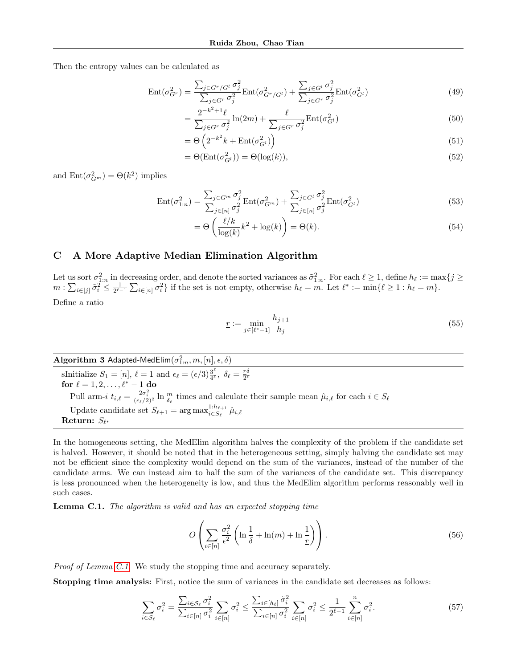Then the entropy values can be calculated as

$$
Ent(\sigma_{G}^2) = \frac{\sum_{j \in G^r / G^l} \sigma_j^2}{\sum_{j \in G^r} \sigma_j^2} Ent(\sigma_{G^r / G^l}^2) + \frac{\sum_{j \in G^l} \sigma_j^2}{\sum_{j \in G^r} \sigma_j^2} Ent(\sigma_{G^l}^2)
$$
\n(49)

$$
= \frac{2^{-k^2+1}\ell}{\sum_{j \in G^r} \sigma_j^2} \ln(2m) + \frac{\ell}{\sum_{j \in G^r} \sigma_j^2} \text{Ent}(\sigma_{G^l}^2)
$$
(50)

$$
= \Theta\left(2^{-k^2}k + \text{Ent}(\sigma_{G^l}^2)\right) \tag{51}
$$

$$
= \Theta(\text{Ent}(\sigma_{G^l}^2)) = \Theta(\log(k)),\tag{52}
$$

and  $Ent(\sigma_{G_m}^2) = \Theta(k^2)$  implies

$$
\operatorname{Ent}(\sigma_{1:n}^2) = \frac{\sum_{j \in G^m} \sigma_j^2}{\sum_{j \in [n]} \sigma_j^2} \operatorname{Ent}(\sigma_{G^m}^2) + \frac{\sum_{j \in G^l} \sigma_j^2}{\sum_{j \in [n]} \sigma_j^2} \operatorname{Ent}(\sigma_{G^l}^2)
$$
\n(53)

$$
= \Theta\left(\frac{\ell/k}{\log(k)}k^2 + \log(k)\right) = \Theta(k). \tag{54}
$$

## C A More Adaptive Median Elimination Algorithm

Let us sort  $\sigma_{1:n}^2$  in decreasing order, and denote the sorted variances as  $\tilde{\sigma}_{1:n}^2$ . For each  $\ell \geq 1$ , define  $h_\ell := \max\{j \geq 1\}$  $m: \sum_{i\in [j]} \tilde{\sigma}_i^2 \leq \frac{1}{2^{\ell-1}} \sum_{i\in [n]} \sigma_i^2$  if the set is not empty, otherwise  $h_\ell = m$ . Let  $\ell^* := \min\{\ell \geq 1 : h_\ell = m\}$ . Define a ratio

$$
\underline{r} := \min_{j \in [\ell^* - 1]} \frac{h_{j+1}}{h_j} \tag{55}
$$

 $\mathbf{Algorithm~3}$   $\mathsf{Adapted\text{-}MedElim}(\sigma_{1:n}^2, m, [n], \epsilon, \delta)$ sInitialize  $S_1 = [n], \ell = 1$  and  $\epsilon_{\ell} = (\epsilon/3) \frac{3^{\ell}}{4^{\ell}}$  $\frac{3^{\ell}}{4^{\ell}},\ \delta_{\ell}=\frac{r\delta}{2^{\ell}}$  $2^{\ell}$ for  $\ell = 1, 2, \ldots, \ell^* - 1$  do Pull arm-i  $t_{i,\ell} = \frac{2\sigma_i^2}{(\epsilon_\ell/2)^2} \ln \frac{m}{\delta_\ell}$  times and calculate their sample mean  $\hat{\mu}_{i,\ell}$  for each  $i \in S_\ell$ Update candidate set  $S_{\ell+1} = \arg \max_{i \in S_{\ell}} 1 : h_{\ell+1}$  $\hat{\mu}^{\scriptscriptstyle 1\hspace{-0.15mm}:\hspace{-0.15mm} n_{\ell+1}}_{i\in S_{\ell}} \hat{\mu}_{i,\ell}$  ${\bf Return:}\,\,S_{\ell^*}$ 

In the homogeneous setting, the MedElim algorithm halves the complexity of the problem if the candidate set is halved. However, it should be noted that in the heterogeneous setting, simply halving the candidate set may not be efficient since the complexity would depend on the sum of the variances, instead of the number of the candidate arms. We can instead aim to half the sum of the variances of the candidate set. This discrepancy is less pronounced when the heterogeneity is low, and thus the MedElim algorithm performs reasonably well in such cases.

<span id="page-14-0"></span>Lemma C.1. The algorithm is valid and has an expected stopping time

$$
O\left(\sum_{i\in[n]}\frac{\sigma_i^2}{\epsilon^2}\left(\ln\frac{1}{\delta} + \ln(m) + \ln\frac{1}{\underline{r}}\right)\right). \tag{56}
$$

Proof of Lemma [C.1.](#page-14-0) We study the stopping time and accuracy separately.

Stopping time analysis: First, notice the sum of variances in the candidate set decreases as follows:

$$
\sum_{i \in \mathcal{S}_{\ell}} \sigma_i^2 = \frac{\sum_{i \in \mathcal{S}_{\ell}} \sigma_i^2}{\sum_{i \in [n]} \sigma_i^2} \sum_{i \in [n]} \sigma_i^2 \le \frac{\sum_{i \in [h_{\ell}]} \tilde{\sigma}_i^2}{\sum_{i \in [n]} \sigma_i^2} \sum_{i \in [n]} \sigma_i^2 \le \frac{1}{2^{\ell-1}} \sum_{i \in [n]}^n \sigma_i^2.
$$
\n(57)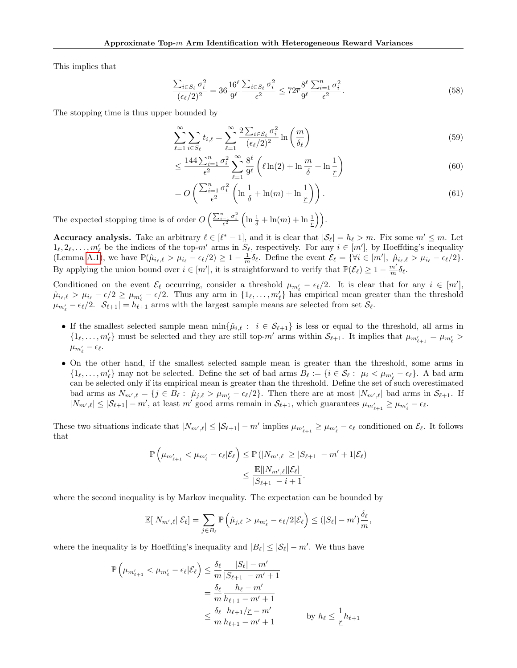This implies that

$$
\frac{\sum_{i \in S_{\ell}} \sigma_i^2}{(\epsilon_{\ell}/2)^2} = 36 \frac{16^{\ell}}{9^{\ell}} \frac{\sum_{i \in S_{\ell}} \sigma_i^2}{\epsilon^2} \le 72 \overline{r} \frac{8^{\ell}}{9^{\ell}} \frac{\sum_{i=1}^n \sigma_i^2}{\epsilon^2}.
$$
\n
$$
(58)
$$

The stopping time is thus upper bounded by

$$
\sum_{\ell=1}^{\infty} \sum_{i \in S_{\ell}} t_{i,\ell} = \sum_{\ell=1}^{\infty} \frac{2 \sum_{i \in S_{\ell}} \sigma_i^2}{(\epsilon_{\ell}/2)^2} \ln\left(\frac{m}{\delta_{\ell}}\right)
$$
(59)

$$
\leq \frac{144 \sum_{i=1}^{n} \sigma_i^2}{\epsilon^2} \sum_{\ell=1}^{\infty} \frac{8^{\ell}}{9^{\ell}} \left( \ell \ln(2) + \ln \frac{m}{\delta} + \ln \frac{1}{r} \right) \tag{60}
$$

$$
= O\left(\frac{\sum_{i=1}^{n} \sigma_i^2}{\epsilon^2} \left(\ln \frac{1}{\delta} + \ln(m) + \ln \frac{1}{r}\right)\right).
$$
\n(61)

The expected stopping time is of order  $O\left(\frac{\sum_{i=1}^n \sigma_i^2}{\epsilon^2}\left(\ln\frac{1}{\delta} + \ln(m) + \ln\frac{1}{r}\right)\right)$ .

**Accuracy analysis.** Take an arbitrary  $\ell \in [\ell^* - 1]$ , and it is clear that  $|\mathcal{S}_{\ell}| = h_{\ell} > m$ . Fix some  $m' \leq m$ . Let  $1_\ell, 2_\ell, \ldots, m'_\ell$  be the indices of the top- $m'$  arms in  $S_\ell$ , respectively. For any  $i \in [m']$ , by Hoeffding's inequality (Lemma [A.1\)](#page-10-0), we have  $\mathbb{P}(\hat{\mu}_{i_\ell,\ell} > \mu_{i_\ell} - \epsilon_\ell/2) \geq 1 - \frac{1}{m}\delta_\ell$ . Define the event  $\mathcal{E}_\ell = \{\forall i \in [m'], \ \hat{\mu}_{i_\ell,\ell} > \mu_{i_\ell} - \epsilon_\ell/2\}.$ By applying the union bound over  $i \in [m']$ , it is straightforward to verify that  $\mathbb{P}(\mathcal{E}_{\ell}) \geq 1 - \frac{m'}{m} \delta_{\ell}$ .

Conditioned on the event  $\mathcal{E}_{\ell}$  occurring, consider a threshold  $\mu_{m'_{\ell}} - \epsilon_{\ell}/2$ . It is clear that for any  $i \in [m']$ ,  $\hat{\mu}_{i_\ell,\ell} > \mu_{i_\ell} - \epsilon/2 \geq \mu_{m'_\ell} - \epsilon/2$ . Thus any arm in  $\{1_\ell,\ldots,m'_\ell\}$  has empirical mean greater than the threshold  $\mu_{m'_\ell} - \epsilon_\ell/2$ .  $|S_{\ell+1}| = h_{\ell+1}$  arms with the largest sample means are selected from set  $S_\ell$ .

- If the smallest selected sample mean  $\min\{\hat{\mu}_{i,\ell}: i \in \mathcal{S}_{\ell+1}\}\$ is less or equal to the threshold, all arms in  $\{1_\ell, \ldots, m'_\ell\}$  must be selected and they are still top- $m'$  arms within  $\mathcal{S}_{\ell+1}$ . It implies that  $\mu_{m'_{\ell+1}} = \mu_{m'_\ell} >$  $\mu_{m'_\ell} - \epsilon_\ell.$
- On the other hand, if the smallest selected sample mean is greater than the threshold, some arms in  $\{1_\ell, \ldots, m'_\ell\}$  may not be selected. Define the set of bad arms  $B_\ell := \{i \in \mathcal{S}_\ell : \mu_i < \mu_{m'_\ell} - \epsilon_\ell\}$ . A bad arm can be selected only if its empirical mean is greater than the threshold. Define the set of such overestimated bad arms as  $N_{m',\ell} = \{j \in B_\ell : \hat{\mu}_{j,\ell} > \mu_{m'_\ell} - \epsilon_\ell/2\}$ . Then there are at most  $|N_{m',\ell}|$  bad arms in  $\mathcal{S}_{\ell+1}$ . If  $|N_{m',\ell}| \leq |\mathcal{S}_{\ell+1}| - m'$ , at least m' good arms remain in  $\mathcal{S}_{\ell+1}$ , which guarantees  $\mu_{m'_{\ell+1}} \geq \mu_{m'_{\ell}} - \epsilon_{\ell}$ .

These two situations indicate that  $|N_{m',\ell}| \leq |\mathcal{S}_{\ell+1}| - m'$  implies  $\mu_{m'_{\ell+1}} \geq \mu_{m'_{\ell}} - \epsilon_{\ell}$  conditioned on  $\mathcal{E}_{\ell}$ . It follows that

$$
\mathbb{P}\left(\mu_{m'_{\ell+1}} < \mu_{m'_{\ell}} - \epsilon_{\ell}|\mathcal{E}_{\ell}\right) \leq \mathbb{P}\left(|N_{m',\ell}| \geq |S_{\ell+1}| - m' + 1|\mathcal{E}_{\ell}\right) \\
\leq \frac{\mathbb{E}[|N_{m',\ell}||\mathcal{E}_{\ell}]}{|S_{\ell+1}| - i + 1}.
$$

where the second inequality is by Markov inequality. The expectation can be bounded by

$$
\mathbb{E}[|N_{m',\ell}||\mathcal{E}_{\ell}] = \sum_{j \in B_{\ell}} \mathbb{P}\left(\hat{\mu}_{j,\ell} > \mu_{m'_{\ell}} - \epsilon_{\ell}/2|\mathcal{E}_{\ell}\right) \leq (|S_{\ell}| - m')\frac{\delta_{\ell}}{m},
$$

where the inequality is by Hoeffding's inequality and  $|B_{\ell}| \leq |\mathcal{S}_{\ell}| - m'$ . We thus have

$$
\mathbb{P}\left(\mu_{m'_{\ell+1}} < \mu_{m'_{\ell}} - \epsilon_{\ell}|\mathcal{E}_{\ell}\right) \le \frac{\delta_{\ell}}{m} \frac{|S_{\ell}| - m'}{|S_{\ell+1}| - m' + 1}
$$
\n
$$
= \frac{\delta_{\ell}}{m} \frac{h_{\ell} - m'}{h_{\ell+1} - m' + 1}
$$
\n
$$
\le \frac{\delta_{\ell}}{m} \frac{h_{\ell+1}/r - m'}{h_{\ell+1} - m' + 1} \qquad \text{by } h_{\ell} \le \frac{1}{r} h_{\ell+1}
$$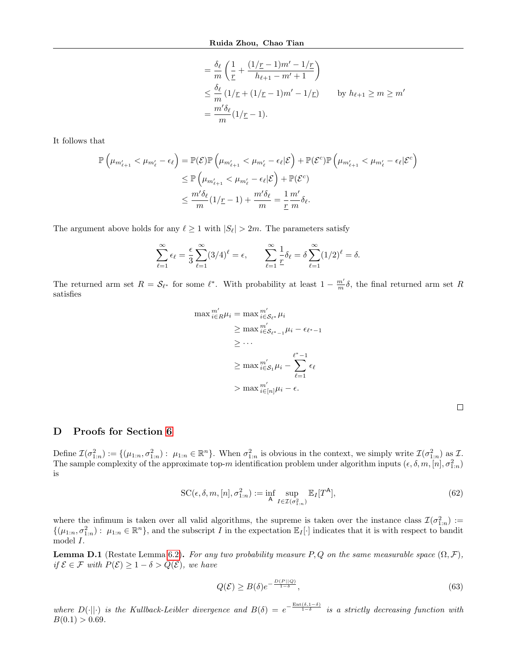$$
\begin{aligned}\n&= \frac{\delta_{\ell}}{m} \left( \frac{1}{\underline{r}} + \frac{(1/\underline{r} - 1)m' - 1/\underline{r}}{h_{\ell+1} - m' + 1} \right) \\
&\leq \frac{\delta_{\ell}}{m} \left( 1/\underline{r} + (1/\underline{r} - 1)m' - 1/\underline{r} \right) \qquad \text{by } h_{\ell+1} \geq m \geq m' \\
&= \frac{m'\delta_{\ell}}{m} (1/\underline{r} - 1).\n\end{aligned}
$$

It follows that

$$
\mathbb{P}\left(\mu_{m'_{\ell+1}} < \mu_{m'_{\ell}} - \epsilon_{\ell}\right) = \mathbb{P}(\mathcal{E})\mathbb{P}\left(\mu_{m'_{\ell+1}} < \mu_{m'_{\ell}} - \epsilon_{\ell}|\mathcal{E}\right) + \mathbb{P}(\mathcal{E}^c)\mathbb{P}\left(\mu_{m'_{\ell+1}} < \mu_{m'_{\ell}} - \epsilon_{\ell}|\mathcal{E}^c\right)
$$
  
\n
$$
\leq \mathbb{P}\left(\mu_{m'_{\ell+1}} < \mu_{m'_{\ell}} - \epsilon_{\ell}|\mathcal{E}\right) + \mathbb{P}(\mathcal{E}^c)
$$
  
\n
$$
\leq \frac{m'\delta_{\ell}}{m}(1/\underline{r}-1) + \frac{m'\delta_{\ell}}{m} = \frac{1}{\underline{r}}\frac{m'}{m}\delta_{\ell}.
$$

The argument above holds for any  $\ell \geq 1$  with  $|S_{\ell}| > 2m$ . The parameters satisfy

$$
\sum_{\ell=1}^{\infty} \epsilon_{\ell} = \frac{\epsilon}{3} \sum_{\ell=1}^{\infty} (3/4)^{\ell} = \epsilon, \qquad \sum_{\ell=1}^{\infty} \frac{1}{\underline{r}} \delta_{\ell} = \delta \sum_{\ell=1}^{\infty} (1/2)^{\ell} = \delta.
$$

The returned arm set  $R = \mathcal{S}_{\ell^*}$  for some  $\ell^*$ . With probability at least  $1 - \frac{m'}{m} \delta$ , the final returned arm set R satisfies

$$
\max_{i \in R} m'_{i} = \max_{i \in S_{\ell^*}} m'_{i}
$$
  
\n
$$
\geq \max_{i \in S_{\ell^*-1}} m'_{i} - \epsilon_{\ell^*-1}
$$
  
\n
$$
\geq \cdots
$$
  
\n
$$
\geq \max_{i \in S_1} m'_{i} - \sum_{\ell=1}^{\ell^*-1} \epsilon_{\ell}
$$
  
\n
$$
> \max_{i \in [n]} \mu_i - \epsilon.
$$

## D Proofs for Section [6](#page-6-4)

Define  $\mathcal{I}(\sigma_{1:n}^2) := \{(\mu_{1:n}, \sigma_{1:n}^2) : \ \mu_{1:n} \in \mathbb{R}^n\}$ . When  $\sigma_{1:n}^2$  is obvious in the context, we simply write  $\mathcal{I}(\sigma_{1:n}^2)$  as  $\mathcal{I}$ . The sample complexity of the approximate top-m identification problem under algorithm inputs  $(\epsilon, \delta, m, [n], \sigma_{1:n}^2)$ is

$$
SC(\epsilon, \delta, m, [n], \sigma_{1:n}^2) := \inf_{\mathsf{A}} \sup_{I \in \mathcal{I}(\sigma_{1:n}^2)} \mathbb{E}_I[T^{\mathsf{A}}],\tag{62}
$$

where the infimum is taken over all valid algorithms, the supreme is taken over the instance class  $\mathcal{I}(\sigma_{1:n}^2)$  :=  $\{(\mu_{1:n}, \sigma_{1:n}^2): \mu_{1:n} \in \mathbb{R}^n\}$ , and the subscript I in the expectation  $\mathbb{E}_I[\cdot]$  indicates that it is with respect to bandit model I.

**Lemma D.1** (Restate Lemma [6.2\)](#page-6-2). For any two probability measure P, Q on the same measurable space  $(\Omega, \mathcal{F})$ , if  $\mathcal{E} \in \mathcal{F}$  with  $P(\mathcal{E}) \geq 1 - \delta > Q(\mathcal{E})$ , we have

$$
Q(\mathcal{E}) \ge B(\delta)e^{-\frac{D(P||Q)}{1-\delta}},\tag{63}
$$

where  $D(\cdot||\cdot)$  is the Kullback-Leibler divergence and  $B(\delta) = e^{-\frac{\text{Ent}(\delta,1-\delta)}{1-\delta}}$  is a strictly decreasing function with  $B(0.1) > 0.69$ .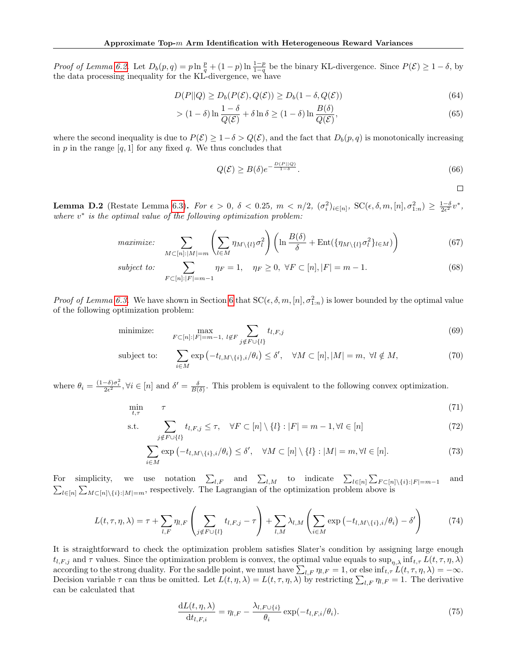Proof of Lemma [6.2.](#page-6-2) Let  $D_b(p,q) = p \ln \frac{p}{q} + (1-p) \ln \frac{1-p}{1-q}$  be the binary KL-divergence. Since  $P(\mathcal{E}) \geq 1-\delta$ , by the data processing inequality for the KL-divergence, we have

$$
D(P||Q) \ge D_b(P(\mathcal{E}), Q(\mathcal{E})) \ge D_b(1 - \delta, Q(\mathcal{E}))
$$
\n(64)

$$
> (1 - \delta) \ln \frac{1 - \delta}{Q(\mathcal{E})} + \delta \ln \delta \ge (1 - \delta) \ln \frac{B(\delta)}{Q(\mathcal{E})},\tag{65}
$$

where the second inequality is due to  $P(\mathcal{E}) \geq 1-\delta > Q(\mathcal{E})$ , and the fact that  $D_b(p,q)$  is monotonically increasing in  $p$  in the range  $[q, 1]$  for any fixed  $q$ . We thus concludes that

$$
Q(\mathcal{E}) \ge B(\delta)e^{-\frac{D(P||Q)}{1-\delta}}.\tag{66}
$$

 $\Box$ 

Lemma D.2 (Restate Lemma [6.3\)](#page-7-0). For  $\epsilon > 0$ ,  $\delta < 0.25$ ,  $m < n/2$ ,  $(\sigma_i^2)_{i \in [n]}$ ,  $\text{SC}(\epsilon, \delta, m, [n], \sigma_{1:n}^2) \ge \frac{1-\delta}{2\epsilon^2}v^*$ , where  $v^*$  is the optimal value of the following optimization problem:

$$
maximize: \sum_{M \subset [n]:|M|=m} \left( \sum_{l \in M} \eta_{M \setminus \{l\}} \sigma_l^2 \right) \left( \ln \frac{B(\delta)}{\delta} + \text{Ent}(\{\eta_{M \setminus \{l\}} \sigma_l^2\}_{l \in M}) \right) \tag{67}
$$

subject to: 
$$
\sum_{F \subset [n]:|F|=m-1} \eta_F = 1, \quad \eta_F \ge 0, \ \forall F \subset [n], |F| = m-1.
$$
 (68)

*Proof of Lemma [6.3.](#page-7-0)* We have shown in Section [6](#page-6-4) that  $SC(\epsilon, \delta, m, [n], \sigma_{1:n}^2)$  is lower bounded by the optimal value of the following optimization problem:

minimize: 
$$
\max_{F \subset [n]: |F| = m-1, \ l \notin F} \sum_{j \notin F \cup \{l\}} t_{l,F,j}
$$
 (69)

subject to: 
$$
\sum_{i \in M} \exp(-t_{l,M \setminus \{i\},i}/\theta_i) \leq \delta', \quad \forall M \subset [n], |M| = m, \ \forall l \notin M,
$$
 (70)

where  $\theta_i = \frac{(1-\delta)\sigma_i^2}{2\epsilon^2}$ ,  $\forall i \in [n]$  and  $\delta' = \frac{\delta}{B(\delta)}$ . This problem is equivalent to the following convex optimization.

$$
\min_{t,\tau} \qquad \tau \tag{71}
$$

s.t. 
$$
\sum_{j \notin F \cup \{l\}} t_{l,F,j} \leq \tau, \quad \forall F \subset [n] \setminus \{l\} : |F| = m - 1, \forall l \in [n]
$$
 (72)

$$
\sum_{i \in M} \exp(-t_{l,M \setminus \{i\},i}/\theta_i) \le \delta', \quad \forall M \subset [n] \setminus \{l\} : |M| = m, \forall l \in [n].
$$
\n(73)

For simplicity, we use notation  $\sum_{l,F}$  and  $\sum_{l,M}$  to indicate  $\sum_{l\in[n]}\sum_{F\subset[n]\setminus\{i\}:|F|=m-1}$ <br> $\sum_{l\in[n]}\sum_{M\subset[n]\setminus\{i\}:|M|=m}$ , respectively. The Lagrangian of the optimization problem above is and

$$
L(t,\tau,\eta,\lambda) = \tau + \sum_{l,F} \eta_{l,F} \left( \sum_{j \notin F \cup \{l\}} t_{l,F,j} - \tau \right) + \sum_{l,M} \lambda_{l,M} \left( \sum_{i \in M} \exp\left(-t_{l,M \setminus \{i\},i}/\theta_i\right) - \delta' \right) \tag{74}
$$

It is straightforward to check the optimization problem satisfies Slater's condition by assigning large enough  $t_{l,F,j}$  and  $\tau$  values. Since the optimization problem is convex, the optimal value equals to sup<sub>n,λ</sub> inf<sub>t, $\tau$ </sub>  $L(t, \tau, \eta, \lambda)$ according to the strong duality. For the saddle point, we must have  $\sum_{l,F} \eta_{l,F} = 1$ , or else  $\inf_{t,\tau} L(t,\tau,\eta,\lambda) = -\infty$ . Decision variable  $\tau$  can thus be omitted. Let  $L(t, \eta, \lambda) = L(t, \tau, \eta, \lambda)$  by restricting  $\sum_{l,F} \eta_{l,F} = 1$ . The derivative can be calculated that

$$
\frac{\mathrm{d}L(t,\eta,\lambda)}{\mathrm{d}t_{l,F,i}} = \eta_{l,F} - \frac{\lambda_{l,F\cup\{i\}}}{\theta_i} \exp(-t_{l,F,i}/\theta_i). \tag{75}
$$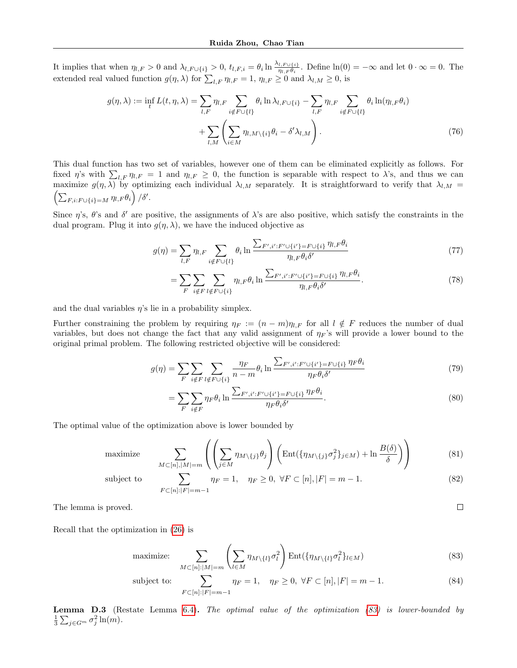It implies that when  $\eta_{l,F} > 0$  and  $\lambda_{l,F\cup\{i\}} > 0$ ,  $t_{l,F,i} = \theta_i \ln \frac{\lambda_{l,F\cup\{i\}}}{\eta_{l,F}\theta_i}$ . Define  $\ln(0) = -\infty$  and let  $0 \cdot \infty = 0$ . The extended real valued function  $g(\eta, \lambda)$  for  $\sum_{l,F} \eta_{l,F} = 1$ ,  $\eta_{l,F} \ge 0$  and  $\lambda_{l,M} \ge 0$ , is

$$
g(\eta, \lambda) := \inf_{t} L(t, \eta, \lambda) = \sum_{l, F} \eta_{l, F} \sum_{i \notin F \cup \{l\}} \theta_i \ln \lambda_{l, F \cup \{i\}} - \sum_{l, F} \eta_{l, F} \sum_{i \notin F \cup \{l\}} \theta_i \ln(\eta_{l, F} \theta_i)
$$

$$
+ \sum_{l, M} \left( \sum_{i \in M} \eta_{l, M \setminus \{i\}} \theta_i - \delta' \lambda_{l, M} \right). \tag{76}
$$

This dual function has two set of variables, however one of them can be eliminated explicitly as follows. For fixed  $\eta$ 's with  $\sum_{l,F} \eta_{l,F} = 1$  and  $\eta_{l,F} \geq 0$ , the function is separable with respect to  $\lambda$ 's, and thus we can maximize  $g(\eta, \lambda)$  by optimizing each individual  $\lambda_{l,M}$  separately. It is straightforward to verify that  $\lambda_{l,M}$  $\left(\sum_{F,i:F\cup\{i\}=M}\eta_{l,F}\theta_i\right)/\delta'.$ 

Since  $\eta$ 's,  $\theta$ 's and  $\delta'$  are positive, the assignments of  $\lambda$ 's are also positive, which satisfy the constraints in the dual program. Plug it into  $g(\eta, \lambda)$ , we have the induced objective as

$$
g(\eta) = \sum_{l,F} \eta_{l,F} \sum_{i \notin F \cup \{l\}} \theta_i \ln \frac{\sum_{F',i':F' \cup \{i'\} = F \cup \{i\}} \eta_{l,F} \theta_i}{\eta_{l,F} \theta_i \delta'}
$$
(77)

$$
= \sum_{F} \sum_{i \notin F} \sum_{l \notin F \cup \{i\}} \eta_{l,F} \theta_i \ln \frac{\sum_{F',i':F' \cup \{i'\}=F \cup \{i\}} \eta_{l,F} \theta_i}{\eta_{l,F} \theta_i \delta'}.
$$
(78)

and the dual variables  $\eta$ 's lie in a probability simplex.

Further constraining the problem by requiring  $\eta_F := (n - m)\eta_{l,F}$  for all  $l \notin F$  reduces the number of dual variables, but does not change the fact that any valid assignment of  $\eta_F$ 's will provide a lower bound to the original primal problem. The following restricted objective will be considered:

$$
g(\eta) = \sum_{F} \sum_{i \notin F} \sum_{l \notin F \cup \{i\}} \frac{\eta_F}{n - m} \theta_i \ln \frac{\sum_{F', i': F' \cup \{i'\} = F \cup \{i\}} \eta_F \theta_i}{\eta_F \theta_i \delta'}
$$
(79)

$$
= \sum_{F} \sum_{i \notin F} \eta_F \theta_i \ln \frac{\sum_{F', i': F' \cup \{i'\} = F \cup \{i\}} \eta_F \theta_i}{\eta_F \theta_i \delta'}. \tag{80}
$$

The optimal value of the optimization above is lower bounded by

maximize 
$$
\sum_{M \subset [n], |M| = m} \left( \left( \sum_{j \in M} \eta_{M \setminus \{j\}} \theta_j \right) \left( \text{Ent}(\{\eta_{M \setminus \{j\}} \sigma_j^2\}_{j \in M}) + \ln \frac{B(\delta)}{\delta} \right) \right)
$$
(81)

subject to

$$
\sum_{F \subset [n]:|F|=m-1} \eta_F = 1, \quad \eta_F \ge 0, \ \forall F \subset [n], |F| = m-1.
$$
\n(82)

<span id="page-18-0"></span> $\Box$ 

The lemma is proved.

Recall that the optimization in [\(26\)](#page-7-3) is

maximize: 
$$
\sum_{M \subset [n]:|M|=m} \left( \sum_{l \in M} \eta_{M \setminus \{l\}} \sigma_l^2 \right) \operatorname{Ent}(\{\eta_{M \setminus \{l\}} \sigma_l^2\}_{l \in M})
$$
(83)

subject to: 
$$
\sum_{F \subset [n]: |F| = m - 1} \eta_F = 1, \quad \eta_F \ge 0, \ \forall F \subset [n], |F| = m - 1.
$$
 (84)

Lemma D.3 (Restate Lemma [6.4\)](#page-7-4). The optimal value of the optimization [\(83\)](#page-18-0) is lower-bounded by  $\frac{1}{3}\sum_{j\in G^m}\sigma_j^2\ln(m).$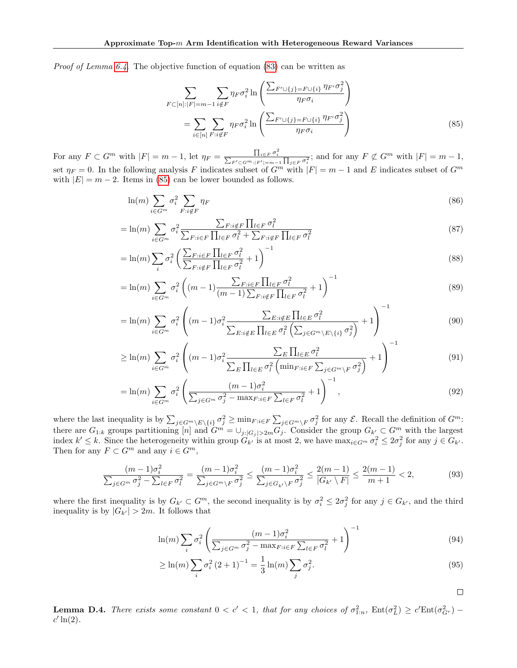*Proof of Lemma [6.4.](#page-7-4)* The objective function of equation  $(83)$  can be written as

<span id="page-19-0"></span>
$$
\sum_{F \subset [n]:|F|=m-1} \sum_{i \notin F} \eta_F \sigma_i^2 \ln \left( \frac{\sum_{F' \cup \{j\} = F \cup \{i\}} \eta_{F'} \sigma_j^2}{\eta_F \sigma_i} \right)
$$
\n
$$
= \sum_{i \in [n]} \sum_{F:i \notin F} \eta_F \sigma_i^2 \ln \left( \frac{\sum_{F' \cup \{j\} = F \cup \{i\}} \eta_{F'} \sigma_j^2}{\eta_F \sigma_i} \right)
$$
\n(85)

For any  $F \subset G^m$  with  $|F| = m - 1$ , let  $\eta_F = \frac{\prod_{i \in F} \sigma_i^2}{\sum_{F' \subset G^m : |F'| = m - 1} \prod_{j \in F} \sigma_i^2}$ ; and for any  $F \not\subset G^m$  with  $|F| = m - 1$ , set  $\eta_F = 0$ . In the following analysis F indicates subset of  $G^m$  with  $|F| = m - 1$  and E indicates subset of  $G^m$ with  $|E| = m - 2$ . Items in [\(85\)](#page-19-0) can be lower bounded as follows.

$$
\ln(m) \sum_{i \in G^m} \sigma_i^2 \sum_{F:i \notin F} \eta_F \tag{86}
$$

$$
= \ln(m) \sum_{i \in G^m} \sigma_i^2 \frac{\sum_{F:i \notin F} \prod_{l \in F} \sigma_l^2}{\sum_{F:i \in F} \prod_{l \in F} \sigma_l^2 + \sum_{F:i \notin F} \prod_{l \in F} \sigma_l^2}
$$
\n(87)

$$
= \ln(m) \sum_{i} \sigma_i^2 \left( \frac{\sum_{F:i \in F} \prod_{l \in F} \sigma_l^2}{\sum_{F:i \notin F} \prod_{l \in F} \sigma_l^2} + 1 \right)^{-1}
$$
\n(88)

$$
= \ln(m) \sum_{i \in G^m} \sigma_i^2 \left( (m-1) \frac{\sum_{F:i \in F} \prod_{l \in F} \sigma_l^2}{(m-1) \sum_{F:i \notin F} \prod_{l \in F} \sigma_l^2} + 1 \right)^{-1}
$$
(89)

$$
= \ln(m) \sum_{i \in G^m} \sigma_i^2 \left( (m-1) \sigma_i^2 \frac{\sum_{E:i \notin E} \prod_{l \in E} \sigma_l^2}{\sum_{E:i \notin E} \prod_{l \in E} \sigma_l^2 \left( \sum_{j \in G^m \setminus E \setminus \{i\}} \sigma_j^2 \right)} + 1 \right)^{-1}
$$
(90)

$$
\geq \ln(m) \sum_{i \in G^m} \sigma_i^2 \left( (m-1) \sigma_i^2 \frac{\sum_E \prod_{l \in E} \sigma_l^2}{\sum_E \prod_{l \in E} \sigma_l^2 \left( \min_{F : i \in F} \sum_{j \in G^m \setminus F} \sigma_j^2 \right)} + 1 \right)^{-1} \tag{91}
$$

$$
= \ln(m) \sum_{i \in G^m} \sigma_i^2 \left( \frac{(m-1)\sigma_i^2}{\sum_{j \in G^m} \sigma_j^2 - \max_{F:i \in F} \sum_{l \in F} \sigma_l^2} + 1 \right)^{-1}, \tag{92}
$$

where the last inequality is by  $\sum_{j \in G^m \setminus E \setminus \{i\}} \sigma_j^2 \ge \min_{F : i \in F} \sum_{j \in G^m \setminus F} \sigma_j^2$  for any  $\mathcal{E}$ . Recall the definition of  $G^m$ : there are  $G_{1:k}$  groups partitioning [n] and  $G^m = \bigcup_{j:|G_j|>2m} G_j$ . Consider the group  $G_{k'} \subset G^m$  with the largest index  $k' \leq k$ . Since the heterogeneity within group  $G_{k'}$  is at most 2, we have  $\max_{i \in G^m} \sigma_i^2 \leq 2\sigma_j^2$  for any  $j \in G_{k'}$ . Then for any  $F \subset G^m$  and any  $i \in G^m$ ,

$$
\frac{(m-1)\sigma_i^2}{\sum_{j \in G^m} \sigma_j^2 - \sum_{l \in F} \sigma_l^2} = \frac{(m-1)\sigma_i^2}{\sum_{j \in G^m \backslash F} \sigma_j^2} \le \frac{(m-1)\sigma_i^2}{\sum_{j \in G_{k'} \backslash F} \sigma_j^2} \le \frac{2(m-1)}{|G_{k'} \backslash F|} \le \frac{2(m-1)}{m+1} < 2,\tag{93}
$$

where the first inequality is by  $G_{k'} \subset G^m$ , the second inequality is by  $\sigma_i^2 \leq 2\sigma_j^2$  for any  $j \in G_{k'}$ , and the third inequality is by  $|G_{k'}| > 2m$ . It follows that

$$
\ln(m) \sum_{i} \sigma_i^2 \left( \frac{(m-1)\sigma_i^2}{\sum_{j \in G^m} \sigma_j^2 - \max_{F:i \in F} \sum_{l \in F} \sigma_l^2} + 1 \right)^{-1}
$$
(94)

$$
\geq \ln(m) \sum_{i} \sigma_i^2 (2+1)^{-1} = \frac{1}{3} \ln(m) \sum_{j} \sigma_j^2.
$$
 (95)

 $\Box$ 

<span id="page-19-1"></span>**Lemma D.4.** There exists some constant  $0 < c' < 1$ , that for any choices of  $\sigma_{1:n}^2$ ,  $Ent(\sigma_L^2) \ge c' Ent(\sigma_{G^r}^2)$  $c' \ln(2)$ .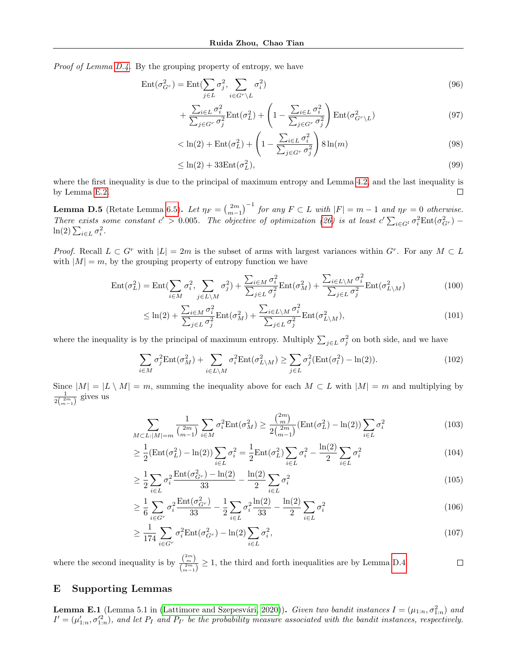Proof of Lemma [D.4.](#page-19-1) By the grouping property of entropy, we have

$$
Ent(\sigma_{G^r}^2) = Ent(\sum_{j \in L} \sigma_j^2, \sum_{i \in G^r \setminus L} \sigma_i^2)
$$
\n(96)

$$
+\frac{\sum_{i\in L}\sigma_i^2}{\sum_{j\in G^r}\sigma_j^2}\text{Ent}(\sigma_L^2)+\left(1-\frac{\sum_{i\in L}\sigma_i^2}{\sum_{j\in G^r}\sigma_j^2}\right)\text{Ent}(\sigma_{G^r\setminus L}^2)
$$
\n(97)

$$
\langle \ln(2) + \text{Ent}(\sigma_L^2) + \left(1 - \frac{\sum_{i \in L} \sigma_i^2}{\sum_{j \in G^r} \sigma_j^2}\right) 8 \ln(m) \tag{98}
$$

$$
\leq \ln(2) + 33 \text{Ent}(\sigma_L^2),\tag{99}
$$

where the first inequality is due to the principal of maximum entropy and Lemma [4.2,](#page-3-3) and the last inequality is by Lemma [E.2.](#page-21-0)  $\Box$ 

**Lemma D.5** (Retate Lemma [6.5\)](#page-8-19). Let  $\eta_F = \left(\frac{2m}{m-1}\right)^{-1}$  for any  $F \subset L$  with  $|F| = m - 1$  and  $\eta_F = 0$  otherwise. There exists some constant  $c' > 0.005$ . The objective of optimization [\(26\)](#page-7-3) is at least  $c' \sum_{i \in G'} \sigma_i^2 \text{Ent}(\sigma_{G'}^2)$  $ln(2) \sum_{i \in L} \sigma_i^2$ .

*Proof.* Recall  $L \subset G^r$  with  $|L| = 2m$  is the subset of arms with largest variances within  $G^r$ . For any  $M \subset L$ with  $|M| = m$ , by the grouping property of entropy function we have

$$
Ent(\sigma_L^2) = Ent(\sum_{i \in M} \sigma_i^2, \sum_{j \in L \setminus M} \sigma_j^2) + \frac{\sum_{i \in M} \sigma_i^2}{\sum_{j \in L} \sigma_j^2} Ent(\sigma_M^2) + \frac{\sum_{i \in L \setminus M} \sigma_i^2}{\sum_{j \in L} \sigma_j^2} Ent(\sigma_{L \setminus M}^2)
$$
(100)

$$
\leq \ln(2) + \frac{\sum_{i \in M} \sigma_i^2}{\sum_{j \in L} \sigma_j^2} \text{Ent}(\sigma_M^2) + \frac{\sum_{i \in L \setminus M} \sigma_i^2}{\sum_{j \in L} \sigma_j^2} \text{Ent}(\sigma_{L \setminus M}^2),\tag{101}
$$

where the inequality is by the principal of maximum entropy. Multiply  $\sum_{j\in L}\sigma_j^2$  on both side, and we have

$$
\sum_{i \in M} \sigma_j^2 \text{Ent}(\sigma_M^2) + \sum_{i \in L \setminus M} \sigma_i^2 \text{Ent}(\sigma_{L \setminus M}^2) \ge \sum_{j \in L} \sigma_j^2 (\text{Ent}(\sigma_l^2) - \ln(2)). \tag{102}
$$

Since  $|M| = |L \setminus M| = m$ , summing the inequality above for each  $M \subset L$  with  $|M| = m$  and multiplying by  $\frac{1}{2\binom{2m}{m-1}}$  gives us

$$
\sum_{M \subset L: |M| = m} \frac{1}{\binom{2m}{m-1}} \sum_{i \in M} \sigma_i^2 \text{Ent}(\sigma_M^2) \ge \frac{\binom{2m}{m}}{2\binom{2m}{m-1}} (\text{Ent}(\sigma_L^2) - \text{ln}(2)) \sum_{i \in L} \sigma_i^2 \tag{103}
$$

$$
\geq \frac{1}{2} \left( \text{Ent}(\sigma_L^2) - \text{ln}(2) \right) \sum_{i \in L} \sigma_i^2 = \frac{1}{2} \text{Ent}(\sigma_L^2) \sum_{i \in L} \sigma_i^2 - \frac{\text{ln}(2)}{2} \sum_{i \in L} \sigma_i^2 \tag{104}
$$

$$
\geq \frac{1}{2} \sum_{i \in L} \sigma_i^2 \frac{\text{Ent}(\sigma_{Gr}^2) - \ln(2)}{33} - \frac{\ln(2)}{2} \sum_{i \in L} \sigma_i^2 \tag{105}
$$

$$
\geq \frac{1}{6} \sum_{i \in G^r} \sigma_i^2 \frac{\text{Ent}(\sigma_{G^r}^2)}{33} - \frac{1}{2} \sum_{i \in L} \sigma_i^2 \frac{\ln(2)}{33} - \frac{\ln(2)}{2} \sum_{i \in L} \sigma_i^2 \tag{106}
$$

$$
\geq \frac{1}{174} \sum_{i \in G^r} \sigma_i^2 \text{Ent}(\sigma_{G^r}^2) - \ln(2) \sum_{i \in L} \sigma_i^2,\tag{107}
$$

where the second inequality is by  $\frac{\binom{2m}{m}}{\binom{2m}{m}}$  $\frac{\binom{m}{2m}}{\binom{2m}{m-1}} \geq 1$ , the third and forth inequalities are by Lemma [D.4.](#page-19-1)  $\Box$ 

## E Supporting Lemmas

**Lemma E.1** (Lemma 5.1 in (Lattimore and Szepesvári, 2020)). Given two bandit instances  $I = (\mu_{1:n}, \sigma_{1:n}^2)$  and  $I' = (\mu'_{1:n}, \sigma'^{2}_{1:n})$ , and let  $P_I$  and  $P_{I'}$  be the probability measure associated with the bandit instances, respectively.